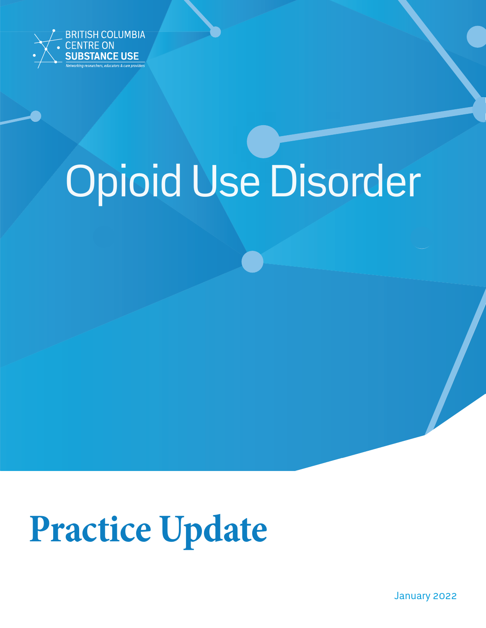

# Opioid Use Disorder

## **Practice Update**

January 2022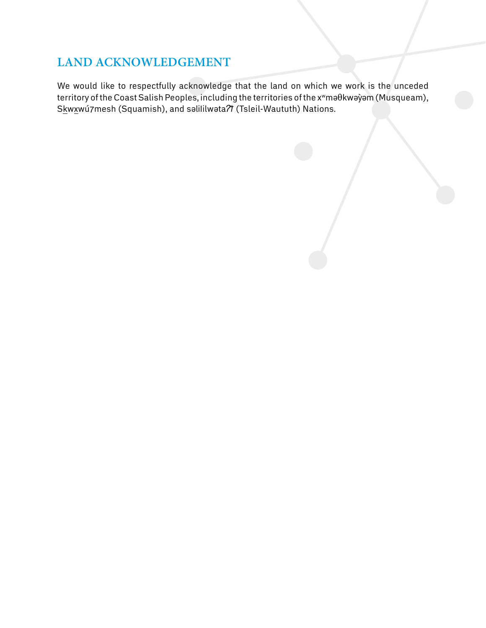## **Land Acknowledgement**

We would like to respectfully acknowledge that the land on which we work is the unceded territory of the Coast Salish Peoples, including the territories of the xwməθkwəỳəm (Musqueam), Skwxwú7mesh (Squamish), and səlililwəta<sup>7</sup>*I* (Tsleil-Waututh) Nations.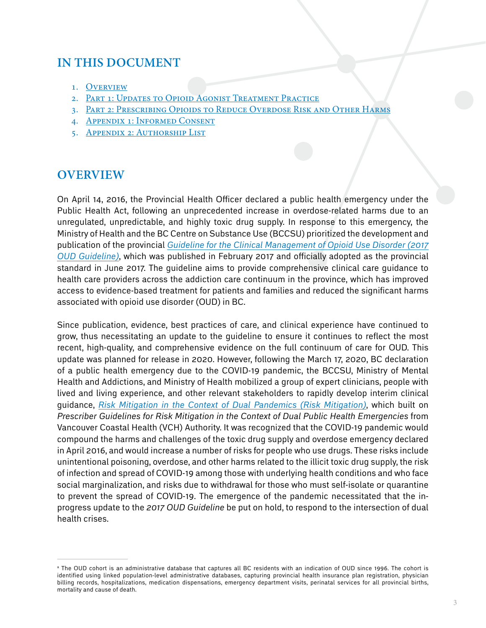## **IN THIS DOCUMENT**

- 1. [Overview](#page-2-0)
- 2. PART 1: UPDATES TO OPIOID AGONIST TREATMENT PRACTICE
- 3. [Part 2: Prescribing Opioids to Reduce Overdose Risk and Other Harms](#page-12-0)
- 4. [Appendix 1: Informed Consent](#page-25-0)
- 5. [Appendix 2: Authorship List](#page-27-0)

#### <span id="page-2-0"></span>**Overview**

On April 14, 2016, the Provincial Health Officer declared a public health emergency under the Public Health Act, following an unprecedented increase in overdose-related harms due to an unregulated, unpredictable, and highly toxic drug supply. In response to this emergency, the Ministry of Health and the BC Centre on Substance Use (BCCSU) prioritized the development and publication of the provincial *[Guideline for the Clinical Management of Opioid Use Disorder](https://www.bccsu.ca/opioid-use-disorder/) (2017 OUD Guideline)*, which was published in February 2017 and officially adopted as the provincial standard in June 2017. The guideline aims to provide comprehensive clinical care guidance to health care providers across the addiction care continuum in the province, which has improved access to evidence-based treatment for patients and families and reduced the significant harms associated with opioid use disorder (OUD) in BC.

Since publication, evidence, best practices of care, and clinical experience have continued to grow, thus necessitating an update to the guideline to ensure it continues to reflect the most recent, high-quality, and comprehensive evidence on the full continuum of care for OUD. This update was planned for release in 2020. However, following the March 17, 2020, BC declaration of a public health emergency due to the COVID-19 pandemic, the BCCSU, Ministry of Mental Health and Addictions, and Ministry of Health mobilized a group of expert clinicians, people with lived and living experience, and other relevant stakeholders to rapidly develop interim clinical guidance, *[Risk Mitigation in the Context of Dual Pandemics](https://www.bccsu.ca/covid-19/) (Risk Mitigation)*, which built on *Prescriber Guidelines for Risk Mitigation in the Context of Dual Public Health Emergencies* from Vancouver Coastal Health (VCH) Authority. It was recognized that the COVID-19 pandemic would compound the harms and challenges of the toxic drug supply and overdose emergency declared in April 2016, and would increase a number of risks for people who use drugs. These risks include unintentional poisoning, overdose, and other harms related to the illicit toxic drug supply, the risk of infection and spread of COVID-19 among those with underlying health conditions and who face social marginalization, and risks due to withdrawal for those who must self-isolate or quarantine to prevent the spread of COVID-19. The emergence of the pandemic necessitated that the inprogress update to the *2017 OUD Guideline* be put on hold, to respond to the intersection of dual health crises.

a The OUD cohort is an administrative database that captures all BC residents with an indication of OUD since 1996. The cohort is identified using linked population-level administrative databases, capturing provincial health insurance plan registration, physician billing records, hospitalizations, medication dispensations, emergency department visits, perinatal services for all provincial births, mortality and cause of death.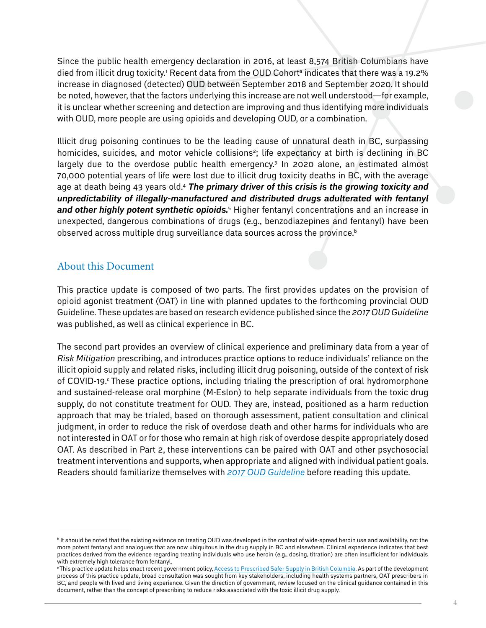Since the public health emergency declaration in 2016, at least 8,574 British Columbians have died from illicit drug toxicity.' Recent data from the OUD Cohortª indicates that there was a 19.2% increase in diagnosed (detected) OUD between September 2018 and September 2020. It should be noted, however, that the factors underlying this increase are not well understood—for example, it is unclear whether screening and detection are improving and thus identifying more individuals with OUD, more people are using opioids and developing OUD, or a combination.

Illicit drug poisoning continues to be the leading cause of unnatural death in BC, surpassing homicides, suicides, and motor vehicle collisions<sup>2</sup>; life expectancy at birth is declining in BC largely due to the overdose public health emergency.<sup>3</sup> In 2020 alone, an estimated almost 70,000 potential years of life were lost due to illicit drug toxicity deaths in BC, with the average age at death being 43 years old.4 *The primary driver of this crisis is the growing toxicity and unpredictability of illegally-manufactured and distributed drugs adulterated with fentanyl*  and other highly potent synthetic opioids.<sup>5</sup> Higher fentanyl concentrations and an increase in unexpected, dangerous combinations of drugs (e.g., benzodiazepines and fentanyl) have been observed across multiple drug surveillance data sources across the province. $<sup>b</sup>$ </sup>

#### About this Document

This practice update is composed of two parts. The first provides updates on the provision of opioid agonist treatment (OAT) in line with planned updates to the forthcoming provincial OUD Guideline. These updates are based on research evidence published since the *2017 OUD Guideline* was published, as well as clinical experience in BC.

The second part provides an overview of clinical experience and preliminary data from a year of *Risk Mitigation* prescribing, and introduces practice options to reduce individuals' reliance on the illicit opioid supply and related risks, including illicit drug poisoning, outside of the context of risk of COVID-19. These practice options, including trialing the prescription of oral hydromorphone and sustained-release oral morphine (M-Eslon) to help separate individuals from the toxic drug supply, do not constitute treatment for OUD. They are, instead, positioned as a harm reduction approach that may be trialed, based on thorough assessment, patient consultation and clinical judgment, in order to reduce the risk of overdose death and other harms for individuals who are not interested in OAT or for those who remain at high risk of overdose despite appropriately dosed OAT. As described in Part 2, these interventions can be paired with OAT and other psychosocial treatment interventions and supports, when appropriate and aligned with individual patient goals. Readers should familiarize themselves with *[2017 OUD Guideline](https://www.bccsu.ca/opioid-use-disorder/)* before reading this update.

 $^{\rm b}$  It should be noted that the existing evidence on treating OUD was developed in the context of wide-spread heroin use and availability, not the more potent fentanyl and analogues that are now ubiquitous in the drug supply in BC and elsewhere. Clinical experience indicates that best practices derived from the evidence regarding treating individuals who use heroin (e.g., dosing, titration) are often insufficient for individuals with extremely high tolerance from fentanyl.

<sup>&</sup>lt;sup>c</sup> This practice update helps enact recent government policy, [Access to Prescribed Safer Supply in British Columbia.](https://www2.gov.bc.ca/assets/gov/overdose-awareness/prescribed_safer_supply_in_bc.pdf) As part of the development process of this practice update, broad consultation was sought from key stakeholders, including health systems partners, OAT prescribers in BC, and people with lived and living experience. Given the direction of government, review focused on the clinical guidance contained in this document, rather than the concept of prescribing to reduce risks associated with the toxic illicit drug supply.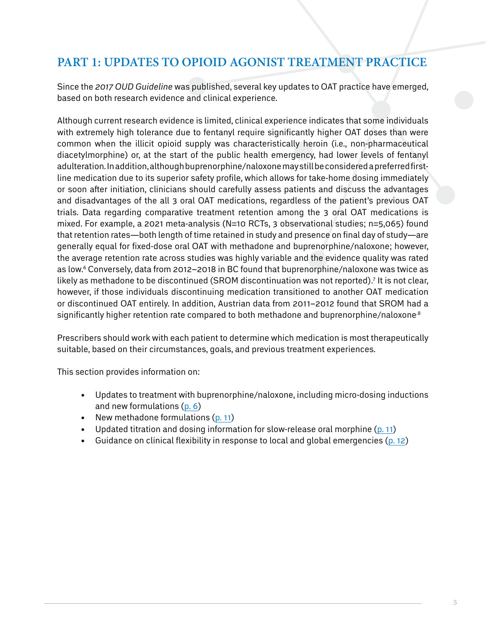## <span id="page-4-0"></span>**Part 1: Updates to Opioid Agonist Treatment Practice**

Since the *2017 OUD Guideline* was published, several key updates to OAT practice have emerged, based on both research evidence and clinical experience.

Although current research evidence is limited, clinical experience indicates that some individuals with extremely high tolerance due to fentanyl require significantly higher OAT doses than were common when the illicit opioid supply was characteristically heroin (i.e., non-pharmaceutical diacetylmorphine) or, at the start of the public health emergency, had lower levels of fentanyl adulteration. In addition, although buprenorphine/naloxone may still be considered a preferred firstline medication due to its superior safety profile, which allows for take-home dosing immediately or soon after initiation, clinicians should carefully assess patients and discuss the advantages and disadvantages of the all 3 oral OAT medications, regardless of the patient's previous OAT trials. Data regarding comparative treatment retention among the 3 oral OAT medications is mixed. For example, a 2021 meta-analysis (N=10 RCTs, 3 observational studies; n=5,065) found that retention rates—both length of time retained in study and presence on final day of study—are generally equal for fixed-dose oral OAT with methadone and buprenorphine/naloxone; however, the average retention rate across studies was highly variable and the evidence quality was rated as low.6 Conversely, data from 2012–2018 in BC found that buprenorphine/naloxone was twice as likely as methadone to be discontinued (SROM discontinuation was not reported).7 It is not clear, however, if those individuals discontinuing medication transitioned to another OAT medication or discontinued OAT entirely. In addition, Austrian data from 2011–2012 found that SROM had a significantly higher retention rate compared to both methadone and buprenorphine/naloxone.<sup>8</sup>

Prescribers should work with each patient to determine which medication is most therapeutically suitable, based on their circumstances, goals, and previous treatment experiences.

This section provides information on:

- Updates to treatment with buprenorphine/naloxone, including micro-dosing inductions and new formulations [\(p. 6\)](#page-4-1)
- New methadone formulations  $(p. 11)$  $(p. 11)$
- Updated titration and dosing information for slow-release oral morphine  $(p. 11)$  $(p. 11)$
- <span id="page-4-1"></span>Guidance on clinical flexibility in response to local and global emergencies ( $p. 12$ )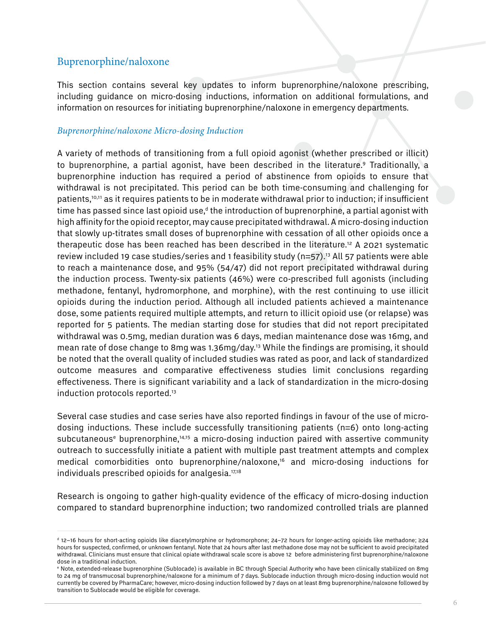#### Buprenorphine/naloxone

This section contains several key updates to inform buprenorphine/naloxone prescribing, including guidance on micro-dosing inductions, information on additional formulations, and information on resources for initiating buprenorphine/naloxone in emergency departments.

#### *Buprenorphine/naloxone Micro-dosing Induction*

A variety of methods of transitioning from a full opioid agonist (whether prescribed or illicit) to buprenorphine, a partial agonist, have been described in the literature.<sup>9</sup> Traditionally, a buprenorphine induction has required a period of abstinence from opioids to ensure that withdrawal is not precipitated. This period can be both time-consuming and challenging for patients,10,11 as it requires patients to be in moderate withdrawal prior to induction; if insufficient time has passed since last opioid use,<sup>d</sup> the introduction of buprenorphine, a partial agonist with high affinity for the opioid receptor, may cause precipitated withdrawal. A micro-dosing induction that slowly up-titrates small doses of buprenorphine with cessation of all other opioids once a therapeutic dose has been reached has been described in the literature.<sup>12</sup> A 2021 systematic review included 19 case studies/series and 1 feasibility study (n=57).<sup>13</sup> All 57 patients were able to reach a maintenance dose, and 95% (54/47) did not report precipitated withdrawal during the induction process. Twenty-six patients (46%) were co-prescribed full agonists (including methadone, fentanyl, hydromorphone, and morphine), with the rest continuing to use illicit opioids during the induction period. Although all included patients achieved a maintenance dose, some patients required multiple attempts, and return to illicit opioid use (or relapse) was reported for 5 patients. The median starting dose for studies that did not report precipitated withdrawal was 0.5mg, median duration was 6 days, median maintenance dose was 16mg, and mean rate of dose change to 8mg was 1.36mg/day.13 While the findings are promising, it should be noted that the overall quality of included studies was rated as poor, and lack of standardized outcome measures and comparative effectiveness studies limit conclusions regarding effectiveness. There is significant variability and a lack of standardization in the micro-dosing induction protocols reported.<sup>13</sup>

Several case studies and case series have also reported findings in favour of the use of microdosing inductions. These include successfully transitioning patients (n=6) onto long-acting subcutaneouse buprenorphine,14,15 a micro-dosing induction paired with assertive community outreach to successfully initiate a patient with multiple past treatment attempts and complex medical comorbidities onto buprenorphine/naloxone,<sup>16</sup> and micro-dosing inductions for individuals prescribed opioids for analgesia.<sup>17,18</sup>

Research is ongoing to gather high-quality evidence of the efficacy of micro-dosing induction compared to standard buprenorphine induction; two randomized controlled trials are planned

d 12–16 hours for short-acting opioids like diacetylmorphine or hydromorphone; 24–72 hours for longer-acting opioids like methadone; ≥24 hours for suspected, confirmed, or unknown fentanyl. Note that 24 hours after last methadone dose may not be sufficient to avoid precipitated withdrawal. Clinicians must ensure that clinical opiate withdrawal scale score is above 12 before administering first buprenorphine/naloxone dose in a traditional induction.

e Note, extended-release buprenorphine (Sublocade) is available in BC through Special Authority who have been clinically stabilized on 8mg to 24 mg of transmucosal buprenorphine/naloxone for a minimum of 7 days. Sublocade induction through micro-dosing induction would not currently be covered by PharmaCare; however, micro-dosing induction followed by 7 days on at least 8mg buprenorphine/naloxone followed by transition to Sublocade would be eligible for coverage.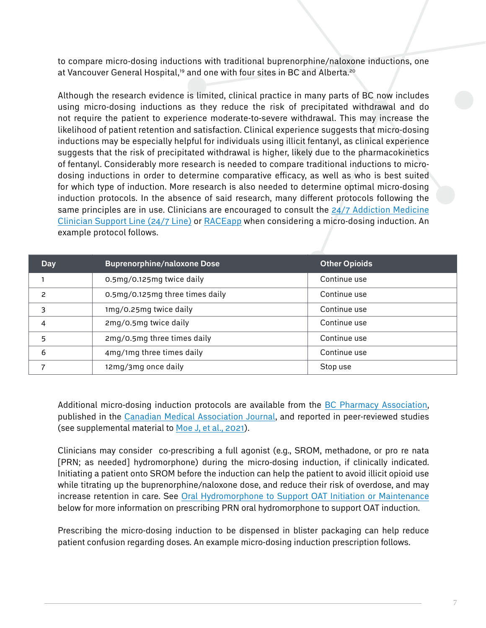to compare micro-dosing inductions with traditional buprenorphine/naloxone inductions, one at Vancouver General Hospital,<sup>19</sup> and one with four sites in BC and Alberta.<sup>20</sup>

Although the research evidence is limited, clinical practice in many parts of BC now includes using micro-dosing inductions as they reduce the risk of precipitated withdrawal and do not require the patient to experience moderate-to-severe withdrawal. This may increase the likelihood of patient retention and satisfaction. Clinical experience suggests that micro-dosing inductions may be especially helpful for individuals using illicit fentanyl, as clinical experience suggests that the risk of precipitated withdrawal is higher, likely due to the pharmacokinetics of fentanyl. Considerably more research is needed to compare traditional inductions to microdosing inductions in order to determine comparative efficacy, as well as who is best suited for which type of induction. More research is also needed to determine optimal micro-dosing induction protocols. In the absence of said research, many different protocols following the same principles are in use. Clinicians are encouraged to consult the 24/7 Addiction Medicine [Clinician Support Line \(24/7 Line\)](http://www.bccsu.ca/24-7) or [RACEapp](http://www.raceconnect.ca/) when considering a micro-dosing induction. An example protocol follows.

| <b>Day</b>               | <b>Buprenorphine/naloxone Dose</b> | <b>Other Opioids</b> |
|--------------------------|------------------------------------|----------------------|
|                          | 0.5mg/0.125mg twice daily          | Continue use         |
| $\overline{\phantom{0}}$ | 0.5mg/0.125mg three times daily    | Continue use         |
| 3                        | 1mg/0.25mg twice daily             | Continue use         |
| 4                        | 2mg/0.5mg twice daily              | Continue use         |
| 5                        | 2mg/0.5mg three times daily        | Continue use         |
| 6                        | 4mg/1mg three times daily          | Continue use         |
|                          | 12mg/3mg once daily                | Stop use             |

Additional micro-dosing induction protocols are available from the [BC Pharmacy Association](https://www.bcpharmacy.ca/tablet/fall-18/microdosing-buprenorphine-induction-bernese-method), published in the [Canadian Medical Association Journal,](https://www.cmaj.ca/content/192/3/E73) and reported in peer-reviewed studies (see supplemental material to [Moe J, et al., 2021\)](https://www.sciencedirect.com/science/article/pii/S0306460320308698?via%3Dihub#s9095).

Clinicians may consider co-prescribing a full agonist (e.g., SROM, methadone, or pro re nata [PRN; as needed] hydromorphone) during the micro-dosing induction, if clinically indicated. Initiating a patient onto SROM before the induction can help the patient to avoid illicit opioid use while titrating up the buprenorphine/naloxone dose, and reduce their risk of overdose, and may increase retention in care. See [Oral Hydromorphone to Support OAT Initiation or Maintenance](#page-16-0)  below for more information on prescribing PRN oral hydromorphone to support OAT induction.

Prescribing the micro-dosing induction to be dispensed in blister packaging can help reduce patient confusion regarding doses. An example micro-dosing induction prescription follows.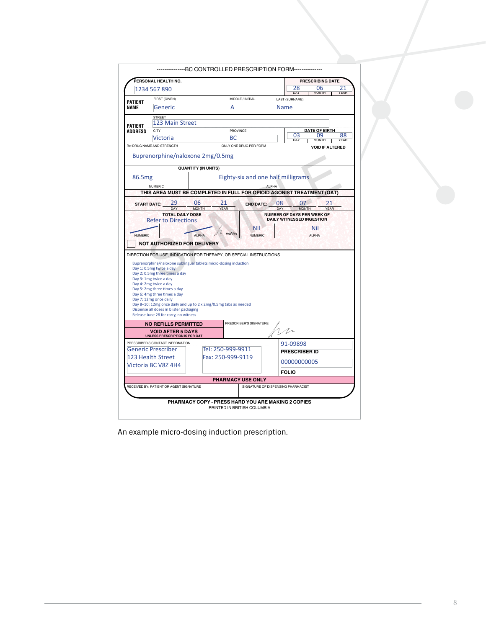|                                  | PERSONAL HEALTH NO.                                                                                                                                                                                                                                                                                                                                              |                            |                   |                                    |                                               |                                                                       | <b>PRESCRIBING DATE</b> |             |      |
|----------------------------------|------------------------------------------------------------------------------------------------------------------------------------------------------------------------------------------------------------------------------------------------------------------------------------------------------------------------------------------------------------------|----------------------------|-------------------|------------------------------------|-----------------------------------------------|-----------------------------------------------------------------------|-------------------------|-------------|------|
|                                  | 1234 567 890                                                                                                                                                                                                                                                                                                                                                     |                            |                   |                                    |                                               | 28                                                                    | 06                      |             | 21   |
|                                  | FIRST (GIVEN)                                                                                                                                                                                                                                                                                                                                                    |                            |                   | MIDDLE / INITIAL                   |                                               | DAY<br>LAST (SURNAME)                                                 | <b>MONTH</b>            |             | YEAR |
| <b>PATIFNT</b><br><b>NAME</b>    | Generic                                                                                                                                                                                                                                                                                                                                                          |                            | А                 |                                    | <b>Name</b>                                   |                                                                       |                         |             |      |
|                                  |                                                                                                                                                                                                                                                                                                                                                                  |                            |                   |                                    |                                               |                                                                       |                         |             |      |
|                                  | <b>STREFT</b><br>123 Main Street                                                                                                                                                                                                                                                                                                                                 |                            |                   |                                    |                                               |                                                                       |                         |             |      |
| <b>PATIENT</b><br><b>ADDRESS</b> | CITY                                                                                                                                                                                                                                                                                                                                                             |                            | PROVINCE          |                                    |                                               | <b>DATE OF BIRTH</b>                                                  |                         |             |      |
|                                  | Victoria                                                                                                                                                                                                                                                                                                                                                         |                            | ВC                |                                    | 03<br>09<br>88<br><b>MONTH</b><br>DAY<br>YFAR |                                                                       |                         |             |      |
|                                  | Bx: DRUG NAME AND STRENGTH                                                                                                                                                                                                                                                                                                                                       |                            |                   | ONLY ONE DRUG PER FORM             |                                               |                                                                       | <b>VOID IF ALTERED</b>  |             |      |
|                                  |                                                                                                                                                                                                                                                                                                                                                                  |                            |                   |                                    |                                               |                                                                       |                         |             |      |
|                                  | Buprenorphine/naloxone 2mg/0.5mg                                                                                                                                                                                                                                                                                                                                 |                            |                   |                                    |                                               |                                                                       |                         |             |      |
|                                  |                                                                                                                                                                                                                                                                                                                                                                  | <b>QUANTITY (IN UNITS)</b> |                   |                                    |                                               |                                                                       |                         |             |      |
| 86.5 <sub>mg</sub>               |                                                                                                                                                                                                                                                                                                                                                                  |                            |                   | Eighty-six and one half milligrams |                                               |                                                                       |                         |             |      |
|                                  | <b>NUMERIC</b>                                                                                                                                                                                                                                                                                                                                                   |                            |                   |                                    | <b>ALPHA</b>                                  |                                                                       |                         |             |      |
|                                  | THIS AREA MUST BE COMPLETED IN FULL FOR OPIOID AGONIST TREATMENT (OAT)                                                                                                                                                                                                                                                                                           |                            |                   |                                    |                                               |                                                                       |                         |             |      |
|                                  | 29<br><b>START DATE:</b>                                                                                                                                                                                                                                                                                                                                         | 06                         | 21                | <b>END DATE:</b>                   | 08                                            | 07                                                                    |                         | 21          |      |
|                                  |                                                                                                                                                                                                                                                                                                                                                                  | <b>MONTH</b>               | <b>YFAR</b>       |                                    | <b>DAY</b>                                    | <b>MONTH</b>                                                          |                         | <b>YFAR</b> |      |
|                                  | <b>TOTAL DAILY DOSE</b><br><b>Refer to Directions</b>                                                                                                                                                                                                                                                                                                            |                            |                   |                                    |                                               | <b>NUMBER OF DAYS PER WEEK OF</b><br><b>DAILY WITNESSED INGESTION</b> |                         |             |      |
|                                  |                                                                                                                                                                                                                                                                                                                                                                  |                            |                   | Nil                                |                                               |                                                                       | Nil                     |             |      |
|                                  |                                                                                                                                                                                                                                                                                                                                                                  |                            |                   |                                    |                                               |                                                                       |                         |             |      |
| <b>NUMERIC</b>                   |                                                                                                                                                                                                                                                                                                                                                                  | <b>ALPHA</b>               | mg/day            | <b>NUMERIC</b>                     |                                               |                                                                       | <b>ALPHA</b>            |             |      |
|                                  | <b>NOT AUTHORIZED FOR DELIVERY</b><br>DIRECTION FOR USE, INDICATION FOR THERAPY, OR SPECIAL INSTRUCTIONS<br>Buprenorphine/naloxone sublingual tablets micro-dosing induction                                                                                                                                                                                     |                            |                   |                                    |                                               |                                                                       |                         |             |      |
|                                  | Day 1: 0.5mg twice a day<br>Day 2: 0.5mg three times a day<br>Day 3: 1mg twice a day<br>Day 4: 2mg twice a day<br>Day 5: 2mg three times a day<br>Day 6: 4mg three times a day<br>Day 7: 12mg once daily<br>Day 8-10: 12mg once daily and up to 2 x 2mg/0.5mg tabs as needed<br>Dispense all doses in blister packaging<br>Release June 28 for carry, no witness |                            |                   |                                    |                                               |                                                                       |                         |             |      |
|                                  | <b>NO REFILLS PERMITTED</b>                                                                                                                                                                                                                                                                                                                                      |                            |                   | PRESCRIBER'S SIGNATURE             |                                               |                                                                       |                         |             |      |
|                                  | <b>VOID AFTER 5 DAYS</b>                                                                                                                                                                                                                                                                                                                                         |                            |                   |                                    | $1/\nu$                                       |                                                                       |                         |             |      |
|                                  | UNLESS PRESCRIPTION IS FOR OAT                                                                                                                                                                                                                                                                                                                                   |                            |                   |                                    |                                               |                                                                       |                         |             |      |
|                                  | PRESCRIBER'S CONTACT INFORMATION<br>Generic Prescriber                                                                                                                                                                                                                                                                                                           |                            | Tel: 250-999-9911 |                                    |                                               | 91-09898                                                              |                         |             |      |
|                                  | 123 Health Street                                                                                                                                                                                                                                                                                                                                                |                            | Fax: 250-999-9119 |                                    |                                               | <b>PRESCRIBER ID</b>                                                  |                         |             |      |
|                                  | Victoria BC V8Z 4H4                                                                                                                                                                                                                                                                                                                                              |                            |                   |                                    |                                               | 00000000005                                                           |                         |             |      |
|                                  |                                                                                                                                                                                                                                                                                                                                                                  |                            |                   |                                    |                                               | <b>FOLIO</b>                                                          |                         |             |      |
|                                  |                                                                                                                                                                                                                                                                                                                                                                  |                            |                   | <b>PHARMACY USE ONLY</b>           |                                               |                                                                       |                         |             |      |
|                                  | RECEIVED BY: PATIENT OR AGENT SIGNATURE                                                                                                                                                                                                                                                                                                                          |                            |                   | SIGNATURE OF DISPENSING PHARMACIST |                                               |                                                                       |                         |             |      |
|                                  |                                                                                                                                                                                                                                                                                                                                                                  |                            |                   |                                    |                                               |                                                                       |                         |             |      |

An example micro-dosing induction prescription.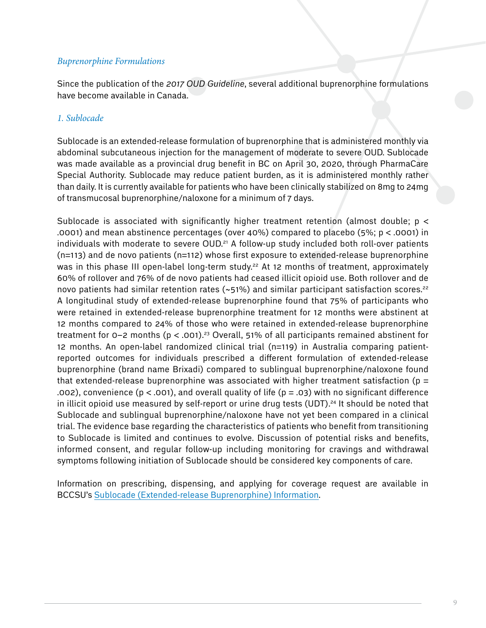#### *Buprenorphine Formulations*

Since the publication of the *2017 OUD Guideline*, several additional buprenorphine formulations have become available in Canada.

#### *1. Sublocade*

Sublocade is an extended-release formulation of buprenorphine that is administered monthly via abdominal subcutaneous injection for the management of moderate to severe OUD. Sublocade was made available as a provincial drug benefit in BC on April 30, 2020, through PharmaCare Special Authority. Sublocade may reduce patient burden, as it is administered monthly rather than daily. It is currently available for patients who have been clinically stabilized on 8mg to 24mg of transmucosal buprenorphine/naloxone for a minimum of 7 days.

Sublocade is associated with significantly higher treatment retention (almost double;  $p \lt c$ .0001) and mean abstinence percentages (over 40%) compared to placebo (5%; p < .0001) in individuals with moderate to severe OUD.<sup>21</sup> A follow-up study included both roll-over patients (n=113) and de novo patients (n=112) whose first exposure to extended-release buprenorphine was in this phase III open-label long-term study.<sup>22</sup> At 12 months of treatment, approximately 60% of rollover and 76% of de novo patients had ceased illicit opioid use. Both rollover and de novo patients had similar retention rates  $({\sim}51\%)$  and similar participant satisfaction scores.<sup>22</sup> A longitudinal study of extended-release buprenorphine found that 75% of participants who were retained in extended-release buprenorphine treatment for 12 months were abstinent at 12 months compared to 24% of those who were retained in extended-release buprenorphine treatment for 0-2 months ( $p < .001$ ).<sup>23</sup> Overall, 51% of all participants remained abstinent for 12 months. An open-label randomized clinical trial (n=119) in Australia comparing patientreported outcomes for individuals prescribed a different formulation of extended-release buprenorphine (brand name Brixadi) compared to sublingual buprenorphine/naloxone found that extended-release buprenorphine was associated with higher treatment satisfaction ( $p =$ .002), convenience ( $p < .001$ ), and overall quality of life ( $p = .03$ ) with no significant difference in illicit opioid use measured by self-report or urine drug tests (UDT).<sup>24</sup> It should be noted that Sublocade and sublingual buprenorphine/naloxone have not yet been compared in a clinical trial. The evidence base regarding the characteristics of patients who benefit from transitioning to Sublocade is limited and continues to evolve. Discussion of potential risks and benefits, informed consent, and regular follow-up including monitoring for cravings and withdrawal symptoms following initiation of Sublocade should be considered key components of care.

Information on prescribing, dispensing, and applying for coverage request are available in BCCSU's [Sublocade \(Extended-release Buprenorphine\) Information.](https://www.bccsu.ca/opioid-use-disorder/)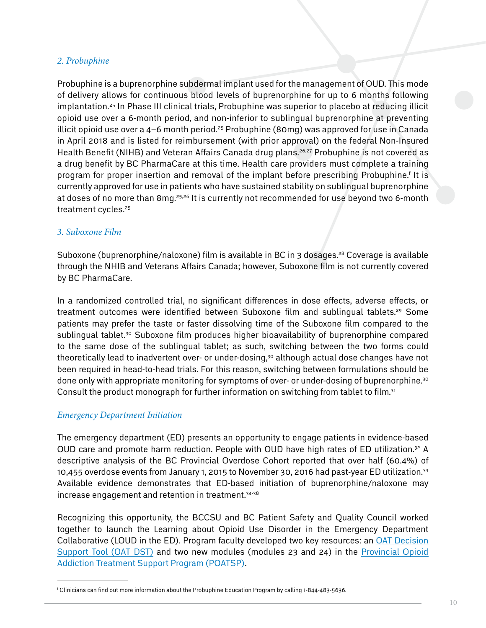#### *2. Probuphine*

Probuphine is a buprenorphine subdermal implant used for the management of OUD. This mode of delivery allows for continuous blood levels of buprenorphine for up to 6 months following implantation.<sup>25</sup> In Phase III clinical trials, Probuphine was superior to placebo at reducing illicit opioid use over a 6-month period, and non-inferior to sublingual buprenorphine at preventing illicit opioid use over a 4–6 month period.<sup>25</sup> Probuphine (80mg) was approved for use in Canada in April 2018 and is listed for reimbursement (with prior approval) on the federal Non-Insured Health Benefit (NIHB) and Veteran Affairs Canada drug plans.<sup>26,27</sup> Probuphine is not covered as a drug benefit by BC PharmaCare at this time. Health care providers must complete a training program for proper insertion and removal of the implant before prescribing Probuphine.<sup>†</sup> It is currently approved for use in patients who have sustained stability on sublingual buprenorphine at doses of no more than 8mg.<sup>25,26</sup> It is currently not recommended for use beyond two 6-month treatment cycles.25

#### *3. Suboxone Film*

Suboxone (buprenorphine/naloxone) film is available in BC in 3 dosages.<sup>28</sup> Coverage is available through the NHIB and Veterans Affairs Canada; however, Suboxone film is not currently covered by BC PharmaCare.

In a randomized controlled trial, no significant differences in dose effects, adverse effects, or treatment outcomes were identified between Suboxone film and sublingual tablets.<sup>29</sup> Some patients may prefer the taste or faster dissolving time of the Suboxone film compared to the sublingual tablet.<sup>30</sup> Suboxone film produces higher bioavailability of buprenorphine compared to the same dose of the sublingual tablet; as such, switching between the two forms could theoretically lead to inadvertent over- or under-dosing,<sup>30</sup> although actual dose changes have not been required in head-to-head trials. For this reason, switching between formulations should be done only with appropriate monitoring for symptoms of over- or under-dosing of buprenorphine.30 Consult the product monograph for further information on switching from tablet to film.<sup>31</sup>

#### *Emergency Department Initiation*

The emergency department (ED) presents an opportunity to engage patients in evidence-based OUD care and promote harm reduction. People with OUD have high rates of ED utilization.<sup>32</sup> A descriptive analysis of the BC Provincial Overdose Cohort reported that over half (60.4%) of 10,455 overdose events from January 1, 2015 to November 30, 2016 had past-year ED utilization.<sup>33</sup> Available evidence demonstrates that ED-based initiation of buprenorphine/naloxone may increase engagement and retention in treatment.34-38

Recognizing this opportunity, the BCCSU and BC Patient Safety and Quality Council worked together to launch the Learning about Opioid Use Disorder in the Emergency Department Collaborative (LOUD in the ED). Program faculty developed two key resources: an [OAT Decision](https://www.bccsu.ca/wp-content/uploads/2020/11/LOUD_ED-Clinical-DST.pdf)  [Support Tool \(OAT DST\)](https://www.bccsu.ca/wp-content/uploads/2020/11/LOUD_ED-Clinical-DST.pdf) and two new modules (modules 23 and 24) in the [Provincial Opioid](https://www.bccsu.ca/provincial-opioid-addiction-treatment-support-program/)  [Addiction Treatment Support Program \(POATSP\)](https://www.bccsu.ca/provincial-opioid-addiction-treatment-support-program/).

f Clinicians can find out more information about the Probuphine Education Program by calling 1-844-483-5636.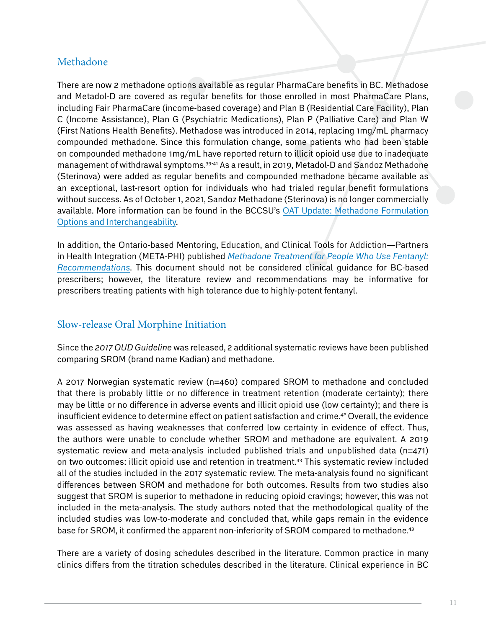#### <span id="page-10-0"></span>Methadone

There are now 2 methadone options available as regular PharmaCare benefits in BC. Methadose and Metadol-D are covered as regular benefits for those enrolled in most PharmaCare Plans, including Fair PharmaCare (income-based coverage) and Plan B (Residential Care Facility), Plan C (Income Assistance), Plan G (Psychiatric Medications), Plan P (Palliative Care) and Plan W (First Nations Health Benefits). Methadose was introduced in 2014, replacing 1mg/mL pharmacy compounded methadone. Since this formulation change, some patients who had been stable on compounded methadone 1mg/mL have reported return to illicit opioid use due to inadequate management of withdrawal symptoms.39-41 As a result, in 2019, Metadol-D and Sandoz Methadone (Sterinova) were added as regular benefits and compounded methadone became available as an exceptional, last-resort option for individuals who had trialed regular benefit formulations without success. As of October 1, 2021, Sandoz Methadone (Sterinova) is no longer commercially available. More information can be found in the BCCSU's [OAT Update: Methadone Formulation](www.bccsu.ca/opioid-use-disorder) [Options and Interchangeability.](www.bccsu.ca/opioid-use-disorder)

In addition, the Ontario-based Mentoring, Education, and Clinical Tools for Addiction—Partners in Health Integration (META-PHI) published *[Methadone Treatment for People Who Use Fentanyl:](http://www.metaphi.ca/assets/documents/provider tools/MethadoneForFentanyl.pdf) [Recommendations](http://www.metaphi.ca/assets/documents/provider tools/MethadoneForFentanyl.pdf)*. This document should not be considered clinical guidance for BC-based prescribers; however, the literature review and recommendations may be informative for prescribers treating patients with high tolerance due to highly-potent fentanyl.

## <span id="page-10-1"></span>Slow-release Oral Morphine Initiation

Since the *2017 OUD Guideline* was released, 2 additional systematic reviews have been published comparing SROM (brand name Kadian) and methadone.

A 2017 Norwegian systematic review (n=460) compared SROM to methadone and concluded that there is probably little or no difference in treatment retention (moderate certainty); there may be little or no difference in adverse events and illicit opioid use (low certainty); and there is insufficient evidence to determine effect on patient satisfaction and crime.42 Overall, the evidence was assessed as having weaknesses that conferred low certainty in evidence of effect. Thus, the authors were unable to conclude whether SROM and methadone are equivalent. A 2019 systematic review and meta-analysis included published trials and unpublished data (n=471) on two outcomes: illicit opioid use and retention in treatment.43 This systematic review included all of the studies included in the 2017 systematic review. The meta-analysis found no significant differences between SROM and methadone for both outcomes. Results from two studies also suggest that SROM is superior to methadone in reducing opioid cravings; however, this was not included in the meta-analysis. The study authors noted that the methodological quality of the included studies was low-to-moderate and concluded that, while gaps remain in the evidence base for SROM, it confirmed the apparent non-inferiority of SROM compared to methadone.<sup>43</sup>

There are a variety of dosing schedules described in the literature. Common practice in many clinics differs from the titration schedules described in the literature. Clinical experience in BC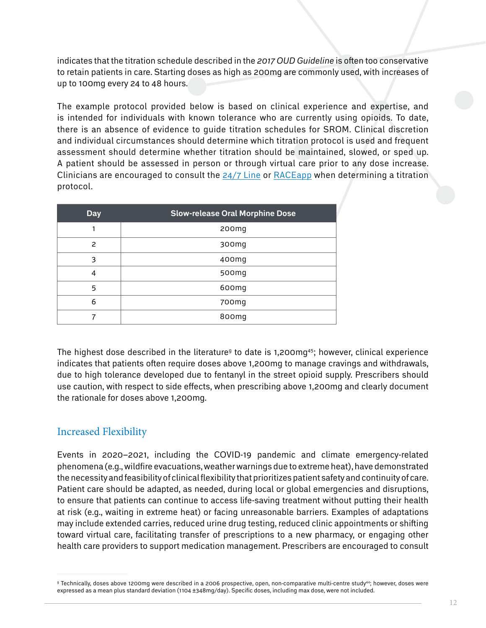indicates that the titration schedule described in the *2017 OUD Guideline* is often too conservative to retain patients in care. Starting doses as high as 200mg are commonly used, with increases of up to 100mg every 24 to 48 hours.

The example protocol provided below is based on clinical experience and expertise, and is intended for individuals with known tolerance who are currently using opioids. To date, there is an absence of evidence to guide titration schedules for SROM. Clinical discretion and individual circumstances should determine which titration protocol is used and frequent assessment should determine whether titration should be maintained, slowed, or sped up. A patient should be assessed in person or through virtual care prior to any dose increase. Clinicians are encouraged to consult the [24/7 Line](http://www.bccsu.ca/24-7) or [RACEapp](http://www.raceconnect.ca/) when determining a titration protocol.

| <b>Day</b> | <b>Slow-release Oral Morphine Dose</b> |
|------------|----------------------------------------|
|            | 200 <sub>mg</sub>                      |
| 2          | 300 <sub>mg</sub>                      |
| 3          | 400mg                                  |
| 4          | 500 <sub>mg</sub>                      |
| 5          | 600mg                                  |
| 6          | 700mg                                  |
|            | 800mg                                  |

The highest dose described in the literature<sup>g</sup> to date is 1,200mg<sup>45</sup>; however, clinical experience indicates that patients often require doses above 1,200mg to manage cravings and withdrawals, due to high tolerance developed due to fentanyl in the street opioid supply. Prescribers should use caution, with respect to side effects, when prescribing above 1,200mg and clearly document the rationale for doses above 1,200mg.

#### <span id="page-11-0"></span>Increased Flexibility

Events in 2020–2021, including the COVID-19 pandemic and climate emergency-related phenomena (e.g., wildfire evacuations, weather warnings due to extreme heat), have demonstrated the necessity and feasibility of clinical flexibility that prioritizes patient safety and continuity of care. Patient care should be adapted, as needed, during local or global emergencies and disruptions, to ensure that patients can continue to access life-saving treatment without putting their health at risk (e.g., waiting in extreme heat) or facing unreasonable barriers. Examples of adaptations may include extended carries, reduced urine drug testing, reduced clinic appointments or shifting toward virtual care, facilitating transfer of prescriptions to a new pharmacy, or engaging other health care providers to support medication management. Prescribers are encouraged to consult

g Technically, doses above 1200mg were described in a 2006 prospective, open, non-comparative multi-centre study44; however, doses were expressed as a mean plus standard deviation (1104 ±348mg/day). Specific doses, including max dose, were not included.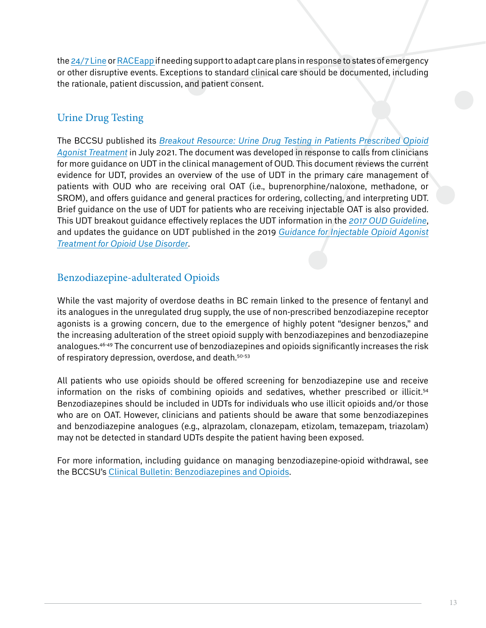the [24/7 Line](http://www.bccsu.ca/24-7) or [RACEapp i](http://www.raceconnect.ca/)f needing support to adapt care plans in response to states of emergency or other disruptive events. Exceptions to standard clinical care should be documented, including the rationale, patient discussion, and patient consent.

## Urine Drug Testing

The BCCSU published its *[Breakout Resource: Urine Drug Testing in Patients Prescribed Opioid](http://www.bccsu.ca/opioid-use-disorder) [Agonist Treatment](http://www.bccsu.ca/opioid-use-disorder)* in July 2021. The document was developed in response to calls from clinicians for more guidance on UDT in the clinical management of OUD. This document reviews the current evidence for UDT, provides an overview of the use of UDT in the primary care management of patients with OUD who are receiving oral OAT (i.e., buprenorphine/naloxone, methadone, or SROM), and offers guidance and general practices for ordering, collecting, and interpreting UDT. Brief guidance on the use of UDT for patients who are receiving injectable OAT is also provided. This UDT breakout guidance effectively replaces the UDT information in the *[2017 OUD Guideline](http://www.bccsu.ca/opioid-use-disorder)*, and updates the guidance on UDT published in the 2019 *[Guidance for Injectable Opioid Agonist](http://www.bccsu.ca/opioid-use-disorder)  [Treatment for Opioid Use Disorder](http://www.bccsu.ca/opioid-use-disorder)*.

## Benzodiazepine-adulterated Opioids

While the vast majority of overdose deaths in BC remain linked to the presence of fentanyl and its analogues in the unregulated drug supply, the use of non-prescribed benzodiazepine receptor agonists is a growing concern, due to the emergence of highly potent "designer benzos," and the increasing adulteration of the street opioid supply with benzodiazepines and benzodiazepine analogues.46-49 The concurrent use of benzodiazepines and opioids significantly increases the risk of respiratory depression, overdose, and death.<sup>50-53</sup>

All patients who use opioids should be offered screening for benzodiazepine use and receive information on the risks of combining opioids and sedatives, whether prescribed or illicit.<sup>54</sup> Benzodiazepines should be included in UDTs for individuals who use illicit opioids and/or those who are on OAT. However, clinicians and patients should be aware that some benzodiazepines and benzodiazepine analogues (e.g., alprazolam, clonazepam, etizolam, temazepam, triazolam) may not be detected in standard UDTs despite the patient having been exposed.

<span id="page-12-0"></span>For more information, including guidance on managing benzodiazepine-opioid withdrawal, see the BCCSU's [Clinical Bulletin: Benzodiazepines and Opioids](www.bccsu.ca/opioid-use-disorder).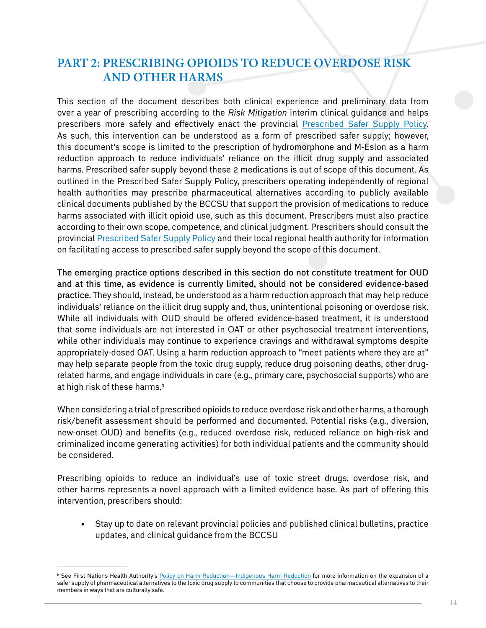## **Part 2: Prescribing Opioids to Reduce Overdose Risk and Other Harms**

This section of the document describes both clinical experience and preliminary data from over a year of prescribing according to the *Risk Mitigation* interim clinical guidance and helps prescribers more safely and effectively enact the provincial [Prescribed Safer Supply Policy.](https://www2.gov.bc.ca/assets/gov/overdose-awareness/prescribed_safer_supply_in_bc.pdf) As such, this intervention can be understood as a form of prescribed safer supply; however, this document's scope is limited to the prescription of hydromorphone and M-Eslon as a harm reduction approach to reduce individuals' reliance on the illicit drug supply and associated harms. Prescribed safer supply beyond these 2 medications is out of scope of this document. As outlined in the Prescribed Safer Supply Policy, prescribers operating independently of regional health authorities may prescribe pharmaceutical alternatives according to publicly available clinical documents published by the BCCSU that support the provision of medications to reduce harms associated with illicit opioid use, such as this document. Prescribers must also practice according to their own scope, competence, and clinical judgment. Prescribers should consult the provincial [Prescribed Safer Supply Policy](https://www2.gov.bc.ca/assets/gov/overdose-awareness/prescribed_safer_supply_in_bc.pdf) and their local regional health authority for information on facilitating access to prescribed safer supply beyond the scope of this document.

The emerging practice options described in this section do not constitute treatment for OUD and at this time, as evidence is currently limited, should not be considered evidence-based practice. They should, instead, be understood as a harm reduction approach that may help reduce individuals' reliance on the illicit drug supply and, thus, unintentional poisoning or overdose risk. While all individuals with OUD should be offered evidence-based treatment, it is understood that some individuals are not interested in OAT or other psychosocial treatment interventions, while other individuals may continue to experience cravings and withdrawal symptoms despite appropriately-dosed OAT. Using a harm reduction approach to "meet patients where they are at" may help separate people from the toxic drug supply, reduce drug poisoning deaths, other drugrelated harms, and engage individuals in care (e.g., primary care, psychosocial supports) who are at high risk of these harms.<sup>h</sup>

When considering a trial of prescribed opioids to reduce overdose risk and other harms, a thorough risk/benefit assessment should be performed and documented. Potential risks (e.g., diversion, new-onset OUD) and benefits (e.g., reduced overdose risk, reduced reliance on high-risk and criminalized income generating activities) for both individual patients and the community should be considered.

Prescribing opioids to reduce an individual's use of toxic street drugs, overdose risk, and other harms represents a novel approach with a limited evidence base. As part of offering this intervention, prescribers should:

• Stay up to date on relevant provincial policies and published clinical bulletins, practice updates, and clinical guidance from the BCCSU

h See First Nations Health Authority's <u>Policy on Harm Reduction—Indigenous Harm Reduction</u> for more information on the expansion of a safer supply of pharmaceutical alternatives to the toxic drug supply to communities that choose to provide pharmaceutical alternatives to their members in ways that are culturally safe.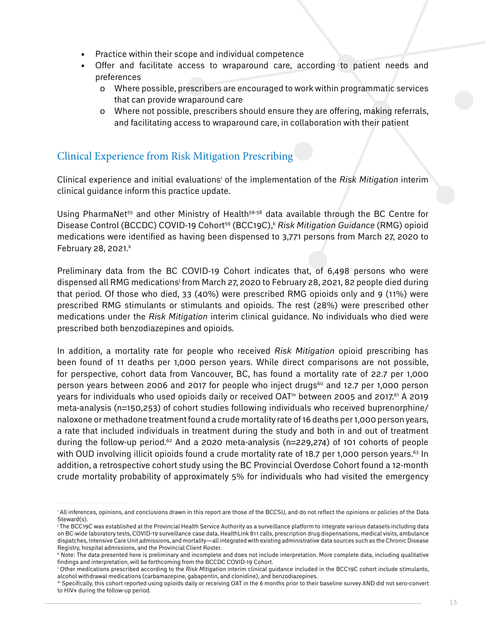- Practice within their scope and individual competence
- Offer and facilitate access to wraparound care, according to patient needs and preferences
	- o Where possible, prescribers are encouraged to work within programmatic services that can provide wraparound care
	- o Where not possible, prescribers should ensure they are offering, making referrals, and facilitating access to wraparound care, in collaboration with their patient

#### Clinical Experience from Risk Mitigation Prescribing

Clinical experience and initial evaluations<sup>i</sup> of the implementation of the Risk Mitigation interim clinical guidance inform this practice update.

Using PharmaNet<sup>55</sup> and other Ministry of Health<sup>56-58</sup> data available through the BC Centre for Disease Control (BCCDC) COVID-19 Cohort<sup>59</sup> (BCC19C),<sup>k</sup> Risk Mitigation Guidance (RMG) opioid medications were identified as having been dispensed to 3,771 persons from March 27, 2020 to February 28, 2021. $k$ 

Preliminary data from the BC COVID-19 Cohort indicates that, of 6,498 persons who were dispensed all RMG medications<sup>i</sup> from March 27, 2020 to February 28, 2021, 82 people died during that period. Of those who died, 33 (40%) were prescribed RMG opioids only and 9 (11%) were prescribed RMG stimulants or stimulants and opioids. The rest (28%) were prescribed other medications under the *Risk Mitigation* interim clinical guidance. No individuals who died were prescribed both benzodiazepines and opioids.

In addition, a mortality rate for people who received *Risk Mitigation* opioid prescribing has been found of 11 deaths per 1,000 person years. While direct comparisons are not possible, for perspective, cohort data from Vancouver, BC, has found a mortality rate of 22.7 per 1,000 person years between 2006 and 2017 for people who inject drugs<sup>60</sup> and 12.7 per 1,000 person years for individuals who used opioids daily or received  $OAT<sup>m</sup>$  between 2005 and 2017.<sup>61</sup> A 2019 meta-analysis (n=150,253) of cohort studies following individuals who received buprenorphine/ naloxone or methadone treatment found a crude mortality rate of 16 deaths per 1,000 person years, a rate that included individuals in treatment during the study and both in and out of treatment during the follow-up period.<sup>62</sup> And a 2020 meta-analysis ( $n=229,274$ ) of 101 cohorts of people with OUD involving illicit opioids found a crude mortality rate of 18.7 per 1,000 person years.<sup>63</sup> In addition, a retrospective cohort study using the BC Provincial Overdose Cohort found a 12-month crude mortality probability of approximately 5% for individuals who had visited the emergency

i All inferences, opinions, and conclusions drawn in this report are those of the BCCSU, and do not reflect the opinions or policies of the Data Steward(s).

j The BCC19C was established at the Provincial Health Service Authority as a surveillance platform to integrate various datasets including data on BC-wide laboratory tests, COVID-19 surveillance case data, HealthLink 811 calls, prescription drug dispensations, medical visits, ambulance dispatches, Intensive Care Unit admissions, and mortality—all integrated with existing administrative data sources such as the Chronic Disease Registry, hospital admissions, and the Provincial Client Roster.

k Note: The data presented here is preliminary and incomplete and does not include interpretation. More complete data, including qualitative findings and interpretation, will be forthcoming from the BCCDC COVID-19 Cohort.

l Other medications prescribed according to the *Risk Mitigation* interim clinical guidance included in the BCC19C cohort include stimulants, alcohol withdrawal medications (carbamazepine, gabapentin, and clonidine), and benzodiazepines.

m Specifically, this cohort reported using opioids daily or receiving OAT in the 6 months prior to their baseline survey AND did not sero-convert to HIV+ during the follow-up period.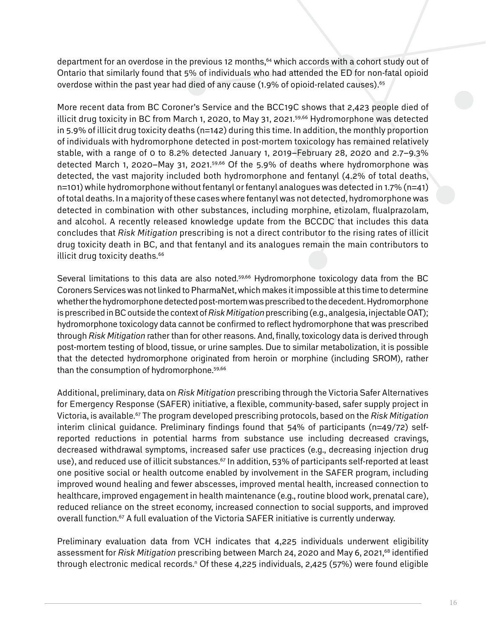department for an overdose in the previous 12 months,<sup>64</sup> which accords with a cohort study out of Ontario that similarly found that 5% of individuals who had attended the ED for non-fatal opioid overdose within the past year had died of any cause  $(1.9\%$  of opioid-related causes).<sup>65</sup>

More recent data from BC Coroner's Service and the BCC19C shows that 2,423 people died of illicit drug toxicity in BC from March 1, 2020, to May 31, 2021.<sup>59,66</sup> Hydromorphone was detected in 5.9% of illicit drug toxicity deaths (n=142) during this time. In addition, the monthly proportion of individuals with hydromorphone detected in post-mortem toxicology has remained relatively stable, with a range of 0 to 8.2% detected January 1, 2019–February 28, 2020 and 2.7–9.3% detected March 1, 2020–May 31, 2021.59,66 Of the 5.9% of deaths where hydromorphone was detected, the vast majority included both hydromorphone and fentanyl (4.2% of total deaths, n=101) while hydromorphone without fentanyl or fentanyl analogues was detected in 1.7% (n=41) of total deaths. In a majority of these cases where fentanyl was not detected, hydromorphone was detected in combination with other substances, including morphine, etizolam, flualprazolam, and alcohol. A recently released knowledge update from the BCCDC that includes this data concludes that *Risk Mitigation* prescribing is not a direct contributor to the rising rates of illicit drug toxicity death in BC, and that fentanyl and its analogues remain the main contributors to illicit drug toxicity deaths.<sup>66</sup>

Several limitations to this data are also noted.<sup>59,66</sup> Hydromorphone toxicology data from the BC Coroners Services was not linked to PharmaNet, which makes it impossible at this time to determine whether the hydromorphone detected post-mortem was prescribed to the decedent. Hydromorphone is prescribed in BC outside the context of *Risk Mitigation* prescribing (e.g., analgesia, injectable OAT); hydromorphone toxicology data cannot be confirmed to reflect hydromorphone that was prescribed through *Risk Mitigation* rather than for other reasons. And, finally, toxicology data is derived through post-mortem testing of blood, tissue, or urine samples. Due to similar metabolization, it is possible that the detected hydromorphone originated from heroin or morphine (including SROM), rather than the consumption of hydromorphone.<sup>59,66</sup>

Additional, preliminary, data on *Risk Mitigation* prescribing through the Victoria Safer Alternatives for Emergency Response (SAFER) initiative, a flexible, community-based, safer supply project in Victoria, is available.67 The program developed prescribing protocols, based on the *Risk Mitigation* interim clinical quidance. Preliminary findings found that 54% of participants (n=49/72) selfreported reductions in potential harms from substance use including decreased cravings, decreased withdrawal symptoms, increased safer use practices (e.g., decreasing injection drug use), and reduced use of illicit substances.<sup>67</sup> In addition, 53% of participants self-reported at least one positive social or health outcome enabled by involvement in the SAFER program, including improved wound healing and fewer abscesses, improved mental health, increased connection to healthcare, improved engagement in health maintenance (e.g., routine blood work, prenatal care), reduced reliance on the street economy, increased connection to social supports, and improved overall function.<sup>67</sup> A full evaluation of the Victoria SAFER initiative is currently underway.

Preliminary evaluation data from VCH indicates that 4,225 individuals underwent eligibility assessment for *Risk Mitigation* prescribing between March 24, 2020 and May 6, 2021,<sup>68</sup> identified through electronic medical records.<sub>"</sub> Of these 4,225 individuals, 2,425 (57%) were found eligible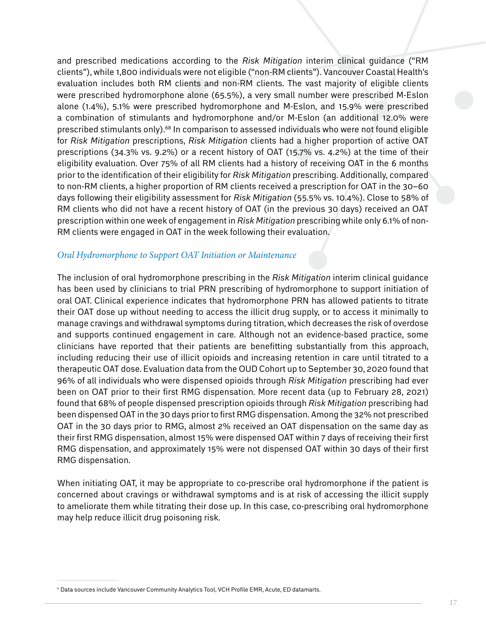and prescribed medications according to the *Risk Mitigation* interim clinical guidance ("RM clients"), while 1,800 individuals were not eligible ("non-RM clients"). Vancouver Coastal Health's evaluation includes both RM clients and non-RM clients. The vast majority of eligible clients were prescribed hydromorphone alone (65.5%), a very small number were prescribed M-Eslon alone (1.4%), 5.1% were prescribed hydromorphone and M-Eslon, and 15.9% were prescribed a combination of stimulants and hydromorphone and/or M-Eslon (an additional 12.0% were prescribed stimulants only).68 In comparison to assessed individuals who were not found eligible for *Risk Mitigation* prescriptions, *Risk Mitigation* clients had a higher proportion of active OAT prescriptions (34.3% vs. 9.2%) or a recent history of OAT (15.7% vs. 4.2%) at the time of their eligibility evaluation. Over 75% of all RM clients had a history of receiving OAT in the 6 months prior to the identification of their eligibility for *Risk Mitigation* prescribing. Additionally, compared to non-RM clients, a higher proportion of RM clients received a prescription for OAT in the 30–60 days following their eligibility assessment for *Risk Mitigation* (55.5% vs. 10.4%). Close to 58% of RM clients who did not have a recent history of OAT (in the previous 30 days) received an OAT prescription within one week of engagement in *Risk Mitigation* prescribing while only 6.1% of non-RM clients were engaged in OAT in the week following their evaluation.

#### <span id="page-16-0"></span>*Oral Hydromorphone to Support OAT Initiation or Maintenance*

The inclusion of oral hydromorphone prescribing in the *Risk Mitigation* interim clinical guidance has been used by clinicians to trial PRN prescribing of hydromorphone to support initiation of oral OAT. Clinical experience indicates that hydromorphone PRN has allowed patients to titrate their OAT dose up without needing to access the illicit drug supply, or to access it minimally to manage cravings and withdrawal symptoms during titration, which decreases the risk of overdose and supports continued engagement in care. Although not an evidence-based practice, some clinicians have reported that their patients are benefitting substantially from this approach, including reducing their use of illicit opioids and increasing retention in care until titrated to a therapeutic OAT dose. Evaluation data from the OUD Cohort up to September 30, 2020 found that 96% of all individuals who were dispensed opioids through *Risk Mitigation* prescribing had ever been on OAT prior to their first RMG dispensation. More recent data (up to February 28, 2021) found that 68% of people dispensed prescription opioids through *Risk Mitigation* prescribing had been dispensed OAT in the 30 days prior to first RMG dispensation. Among the 32% not prescribed OAT in the 30 days prior to RMG, almost 2% received an OAT dispensation on the same day as their first RMG dispensation, almost 15% were dispensed OAT within 7 days of receiving their first RMG dispensation, and approximately 15% were not dispensed OAT within 30 days of their first RMG dispensation.

When initiating OAT, it may be appropriate to co-prescribe oral hydromorphone if the patient is concerned about cravings or withdrawal symptoms and is at risk of accessing the illicit supply to ameliorate them while titrating their dose up. In this case, co-prescribing oral hydromorphone may help reduce illicit drug poisoning risk.

n Data sources include Vancouver Community Analytics Tool, VCH Profile EMR, Acute, ED datamarts.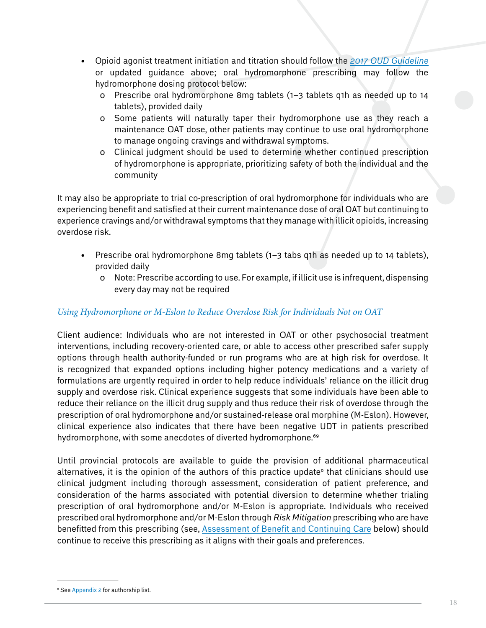- • Opioid agonist treatment initiation and titration should follow the *[2017 OUD Guideline](https://www.bccsu.ca/opioid-use-disorder/)* or updated guidance above; oral hydromorphone prescribing may follow the hydromorphone dosing protocol below:
	- ɤ Prescribe oral hydromorphone 8mg tablets (1–3 tablets q1h as needed up to 14 tablets), provided daily
	- o Some patients will naturally taper their hydromorphone use as they reach a maintenance OAT dose, other patients may continue to use oral hydromorphone to manage ongoing cravings and withdrawal symptoms.
	- ɤ Clinical judgment should be used to determine whether continued prescription of hydromorphone is appropriate, prioritizing safety of both the individual and the community

It may also be appropriate to trial co-prescription of oral hydromorphone for individuals who are experiencing benefit and satisfied at their current maintenance dose of oral OAT but continuing to experience cravings and/or withdrawal symptoms that they manage with illicit opioids, increasing overdose risk.

- Prescribe oral hydromorphone 8mg tablets  $(1-3$  tabs q1h as needed up to 14 tablets), provided daily
	- o Note: Prescribe according to use. For example, if illicit use is infrequent, dispensing every day may not be required

#### *Using Hydromorphone or M-Eslon to Reduce Overdose Risk for Individuals Not on OAT*

Client audience: Individuals who are not interested in OAT or other psychosocial treatment interventions, including recovery-oriented care, or able to access other prescribed safer supply options through health authority-funded or run programs who are at high risk for overdose. It is recognized that expanded options including higher potency medications and a variety of formulations are urgently required in order to help reduce individuals' reliance on the illicit drug supply and overdose risk. Clinical experience suggests that some individuals have been able to reduce their reliance on the illicit drug supply and thus reduce their risk of overdose through the prescription of oral hydromorphone and/or sustained-release oral morphine (M-Eslon). However, clinical experience also indicates that there have been negative UDT in patients prescribed hydromorphone, with some anecdotes of diverted hydromorphone.<sup>69</sup>

Until provincial protocols are available to guide the provision of additional pharmaceutical alternatives, it is the opinion of the authors of this practice update $^{\circ}$  that clinicians should use clinical judgment including thorough assessment, consideration of patient preference, and consideration of the harms associated with potential diversion to determine whether trialing prescription of oral hydromorphone and/or M-Eslon is appropriate. Individuals who received prescribed oral hydromorphone and/or M-Eslon through *Risk Mitigation* prescribing who are have benefitted from this prescribing (see, [Assessment of Benefit and Continuing Care](#page-19-0) below) should continue to receive this prescribing as it aligns with their goals and preferences.

<sup>°</sup> See <u>[Appendix 2](#page-27-0)</u> for authorship list.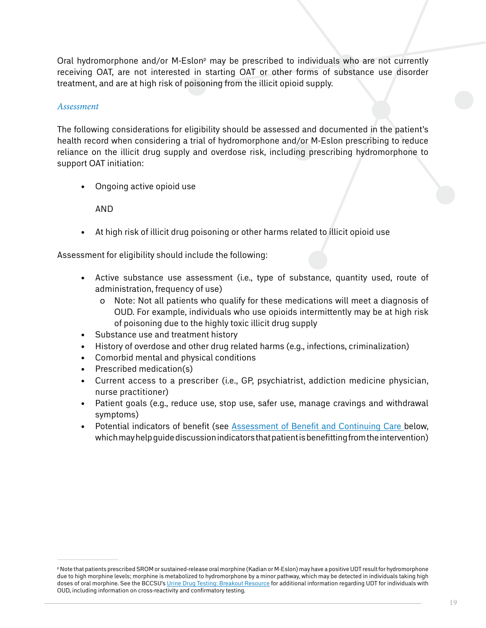Oral hydromorphone and/or M-Eslon<sup>p</sup> may be prescribed to individuals who are not currently receiving OAT, are not interested in starting OAT or other forms of substance use disorder treatment, and are at high risk of poisoning from the illicit opioid supply.

#### *Assessment*

The following considerations for eligibility should be assessed and documented in the patient's health record when considering a trial of hydromorphone and/or M-Eslon prescribing to reduce reliance on the illicit drug supply and overdose risk, including prescribing hydromorphone to support OAT initiation:

• Ongoing active opioid use

AND

• At high risk of illicit drug poisoning or other harms related to illicit opioid use

Assessment for eligibility should include the following:

- Active substance use assessment (i.e., type of substance, quantity used, route of administration, frequency of use)
	- o Note: Not all patients who qualify for these medications will meet a diagnosis of OUD. For example, individuals who use opioids intermittently may be at high risk of poisoning due to the highly toxic illicit drug supply
- Substance use and treatment history
- History of overdose and other drug related harms (e.g., infections, criminalization)
- Comorbid mental and physical conditions
- Prescribed medication(s)
- Current access to a prescriber (i.e., GP, psychiatrist, addiction medicine physician, nurse practitioner)
- Patient goals (e.g., reduce use, stop use, safer use, manage cravings and withdrawal symptoms)
- Potential indicators of benefit (see [Assessment of Benefit and Continuing Care](#page-19-0) below, which may help guide discussion indicators that patient is benefitting from the intervention)

p Note that patients prescribed SROM or sustained-release oral morphine (Kadian or M-Eslon) may have a positive UDT result for hydromorphone due to high morphine levels; morphine is metabolized to hydromorphone by a minor pathway, which may be detected in individuals taking high doses of oral morphine. See the BCCSU's [Urine Drug Testing: Breakout Resource](https://www.bccsu.ca/wp-content/uploads/2021/07/Urine-Drug-Testing-Breakout-Resource.pdf) for additional information regarding UDT for individuals with OUD, including information on cross-reactivity and confirmatory testing.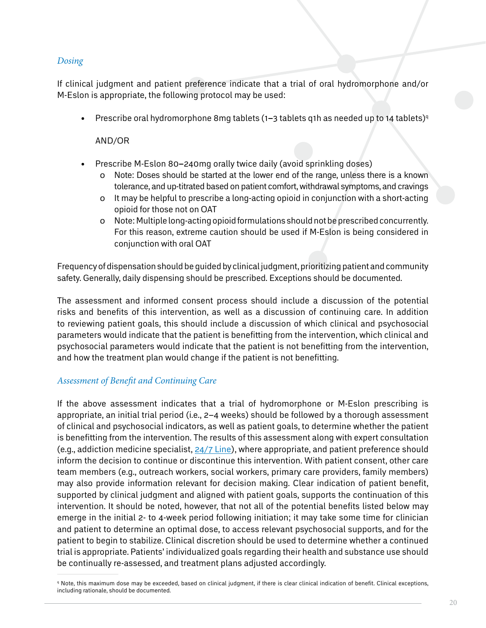#### *Dosing*

If clinical judgment and patient preference indicate that a trial of oral hydromorphone and/or M-Eslon is appropriate, the following protocol may be used:

• Prescribe oral hydromorphone 8mg tablets (1–3 tablets q1h as needed up to 14 tablets)<sup>q</sup>

#### AND/OR

- Prescribe M-Eslon 80-240mg orally twice daily (avoid sprinkling doses)
	- o Note: Doses should be started at the lower end of the range, unless there is a known tolerance, and up-titrated based on patient comfort, withdrawal symptoms, and cravings
	- o It may be helpful to prescribe a long-acting opioid in conjunction with a short-acting opioid for those not on OAT
	- o Note: Multiple long-acting opioid formulations should not be prescribed concurrently. For this reason, extreme caution should be used if M-Eslon is being considered in conjunction with oral OAT

Frequency of dispensation should be guided by clinical judgment, prioritizing patient and community safety. Generally, daily dispensing should be prescribed. Exceptions should be documented.

The assessment and informed consent process should include a discussion of the potential risks and benefits of this intervention, as well as a discussion of continuing care. In addition to reviewing patient goals, this should include a discussion of which clinical and psychosocial parameters would indicate that the patient is benefitting from the intervention, which clinical and psychosocial parameters would indicate that the patient is not benefitting from the intervention, and how the treatment plan would change if the patient is not benefitting.

#### <span id="page-19-0"></span>*Assessment of Benefit and Continuing Care*

If the above assessment indicates that a trial of hydromorphone or M-Eslon prescribing is appropriate, an initial trial period (i.e., 2–4 weeks) should be followed by a thorough assessment of clinical and psychosocial indicators, as well as patient goals, to determine whether the patient is benefitting from the intervention. The results of this assessment along with expert consultation (e.g., addiction medicine specialist, [24/7 Line](https://www.bccsu.ca/24-7/)), where appropriate, and patient preference should inform the decision to continue or discontinue this intervention. With patient consent, other care team members (e.g., outreach workers, social workers, primary care providers, family members) may also provide information relevant for decision making. Clear indication of patient benefit, supported by clinical judgment and aligned with patient goals, supports the continuation of this intervention. It should be noted, however, that not all of the potential benefits listed below may emerge in the initial 2- to 4-week period following initiation; it may take some time for clinician and patient to determine an optimal dose, to access relevant psychosocial supports, and for the patient to begin to stabilize. Clinical discretion should be used to determine whether a continued trial is appropriate. Patients' individualized goals regarding their health and substance use should be continually re-assessed, and treatment plans adjusted accordingly.

<sup>&</sup>lt;sup>q</sup> Note, this maximum dose may be exceeded, based on clinical judgment, if there is clear clinical indication of benefit. Clinical exceptions, including rationale, should be documented.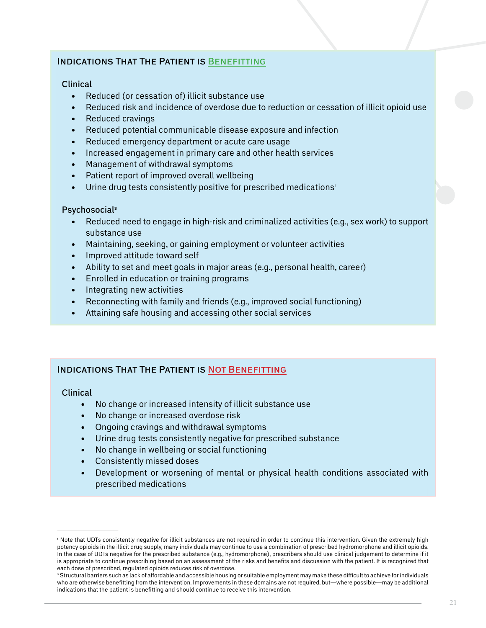#### Indications That The Patient is Benefitting

#### Clinical

- • Reduced (or cessation of) illicit substance use
- Reduced risk and incidence of overdose due to reduction or cessation of illicit opioid use
- Reduced cravings
- • Reduced potential communicable disease exposure and infection
- Reduced emergency department or acute care usage
- Increased engagement in primary care and other health services
- • Management of withdrawal symptoms
- Patient report of improved overall wellbeing
- Urine drug tests consistently positive for prescribed medications<sup>r</sup>

#### **Psychosocials**

- Reduced need to engage in high-risk and criminalized activities (e.g., sex work) to support substance use
- Maintaining, seeking, or gaining employment or volunteer activities
- • Improved attitude toward self
- Ability to set and meet goals in major areas (e.g., personal health, career)
- • Enrolled in education or training programs
- Integrating new activities
- Reconnecting with family and friends (e.g., improved social functioning)
- Attaining safe housing and accessing other social services

#### Indications That The Patient is Not Benefitting

#### Clinical

- No change or increased intensity of illicit substance use
- No change or increased overdose risk
- Ongoing cravings and withdrawal symptoms
- Urine drug tests consistently negative for prescribed substance
- • No change in wellbeing or social functioning
- Consistently missed doses
- Development or worsening of mental or physical health conditions associated with prescribed medications

r Note that UDTs consistently negative for illicit substances are not required in order to continue this intervention. Given the extremely high potency opioids in the illicit drug supply, many individuals may continue to use a combination of prescribed hydromorphone and illicit opioids. In the case of UDTs negative for the prescribed substance (e.g., hydromorphone), prescribers should use clinical judgement to determine if it is appropriate to continue prescribing based on an assessment of the risks and benefits and discussion with the patient. It is recognized that each dose of prescribed, regulated opioids reduces risk of overdose.

s Structural barriers such as lack of affordable and accessible housing or suitable employment may make these difficult to achieve for individuals who are otherwise benefitting from the intervention. Improvements in these domains are not required, but—where possible—may be additional indications that the patient is benefitting and should continue to receive this intervention.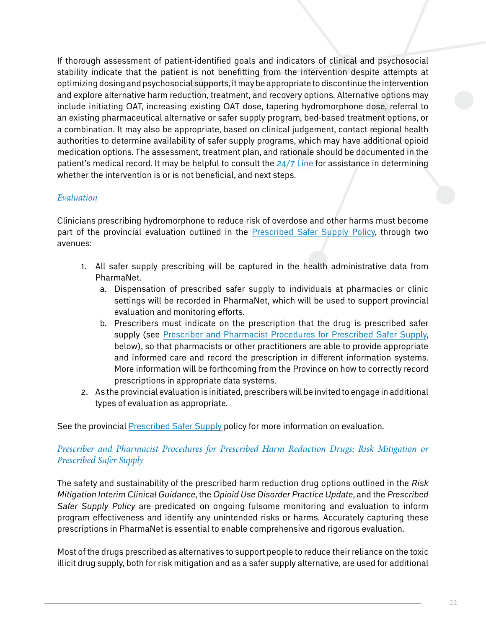If thorough assessment of patient-identified goals and indicators of clinical and psychosocial stability indicate that the patient is not benefitting from the intervention despite attempts at optimizing dosing and psychosocial supports, it may be appropriate to discontinue the intervention and explore alternative harm reduction, treatment, and recovery options. Alternative options may include initiating OAT, increasing existing OAT dose, tapering hydromorphone dose, referral to an existing pharmaceutical alternative or safer supply program, bed-based treatment options, or a combination. It may also be appropriate, based on clinical judgement, contact regional health authorities to determine availability of safer supply programs, which may have additional opioid medication options. The assessment, treatment plan, and rationale should be documented in the patient's medical record. It may be helpful to consult the [24/7 Line](http://www.bccsu.ca/24-7) for assistance in determining whether the intervention is or is not beneficial, and next steps.

#### *Evaluation*

Clinicians prescribing hydromorphone to reduce risk of overdose and other harms must become part of the provincial evaluation outlined in the [Prescribed Safer Supply Policy](https://www2.gov.bc.ca/assets/gov/overdose-awareness/prescribed_safer_supply_in_bc.pdf), through two avenues:

- 1. All safer supply prescribing will be captured in the health administrative data from PharmaNet.
	- a. Dispensation of prescribed safer supply to individuals at pharmacies or clinic settings will be recorded in PharmaNet, which will be used to support provincial evaluation and monitoring efforts.
	- b. Prescribers must indicate on the prescription that the drug is prescribed safer supply (see [Prescriber and Pharmacist Procedures for Prescribed Safer Supply,](#page-21-0) below), so that pharmacists or other practitioners are able to provide appropriate and informed care and record the prescription in different information systems. More information will be forthcoming from the Province on how to correctly record prescriptions in appropriate data systems.
- 2. As the provincial evaluation is initiated, prescribers will be invited to engage in additional types of evaluation as appropriate.

See the provincial [Prescribed Safer Supply](https://www2.gov.bc.ca/assets/gov/overdose-awareness/prescribed_safer_supply_in_bc.pdf) policy for more information on evaluation.

#### <span id="page-21-0"></span>*Prescriber and Pharmacist Procedures for Prescribed Harm Reduction Drugs: Risk Mitigation or Prescribed Safer Supply*

The safety and sustainability of the prescribed harm reduction drug options outlined in the *Risk Mitigation Interim Clinical Guidance*, the *Opioid Use Disorder Practice Update*, and the *Prescribed Safer Supply Policy* are predicated on ongoing fulsome monitoring and evaluation to inform program effectiveness and identify any unintended risks or harms. Accurately capturing these prescriptions in PharmaNet is essential to enable comprehensive and rigorous evaluation.

Most of the drugs prescribed as alternatives to support people to reduce their reliance on the toxic illicit drug supply, both for risk mitigation and as a safer supply alternative, are used for additional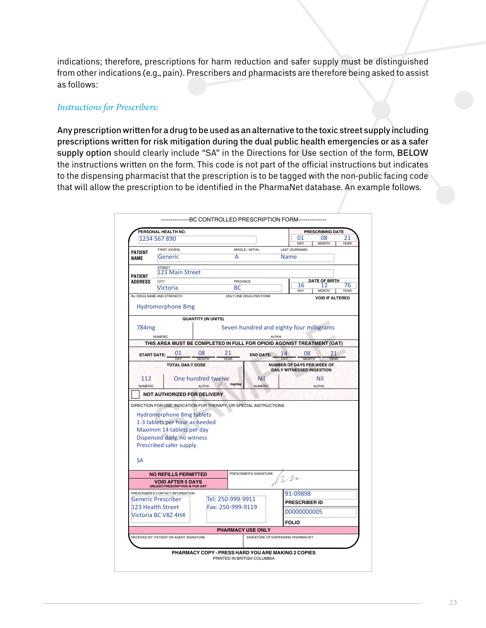indications; therefore, prescriptions for harm reduction and safer supply must be distinguished from other indications (e.g., pain). Prescribers and pharmacists are therefore being asked to assist as follows:

#### *Instructions for Prescribers:*

 $\overline{\phantom{a}}$ 

 $\overline{1}$  $\overline{1}$  $\overline{\phantom{a}}$ 

Any prescription written for a drug to be used as an alternative to the toxic street supply including prescriptions written for risk mitigation during the dual public health emergencies or as a safer supply option should clearly include "SA" in the Directions for Use section of the form, BELOW the instructions written on the form. This code is not part of the official instructions but indicates to the dispensing pharmacist that the prescription is to be tagged with the non-public facing code that will allow the prescription to be identified in the PharmaNet database. An example follows.

|                                               | PERSONAL HEALTH NO.                                                    |                                         |    |                     |                                                                |        |                                  |              | <b>PRESCRIBING DATE</b>          |    |             |
|-----------------------------------------------|------------------------------------------------------------------------|-----------------------------------------|----|---------------------|----------------------------------------------------------------|--------|----------------------------------|--------------|----------------------------------|----|-------------|
|                                               | 1234 567 890                                                           |                                         |    |                     |                                                                |        | 01                               |              | 08                               |    | 21          |
|                                               | FIRST (GIVEN)                                                          |                                         |    |                     | MIDDLE / INITIAL                                               |        | DAY<br>LAST (SURNAME)            |              | <b>MONTH</b>                     |    | <b>YEAR</b> |
| <b>PATIENT</b><br><b>NAME</b>                 | Generic                                                                |                                         | А  |                     |                                                                | Name   |                                  |              |                                  |    |             |
|                                               | <b>STREET</b>                                                          |                                         |    |                     |                                                                |        |                                  |              |                                  |    |             |
| <b>PATIENT</b>                                | 123 Main Street                                                        |                                         |    |                     |                                                                |        |                                  |              |                                  |    |             |
| <b>ADDRESS</b>                                | CITY                                                                   | <b>PROVINCE</b>                         |    |                     |                                                                | 16     |                                  |              | <b>DATE OF BIRTH</b><br>76<br>17 |    |             |
| <b>Victoria</b><br>Rx: DRUG NAME AND STRENGTH |                                                                        |                                         | BC |                     |                                                                |        |                                  |              | DAY<br><b>MONTH</b><br>YEAR      |    |             |
|                                               |                                                                        |                                         |    |                     | ONLY ONE DRUG PER FORM                                         |        |                                  |              | <b>VOID IF ALTERED</b>           |    |             |
|                                               | <b>Hydromorphone 8mg</b>                                               |                                         |    |                     |                                                                |        |                                  |              |                                  |    |             |
|                                               |                                                                        | <b>QUANTITY (IN UNITS)</b>              |    |                     |                                                                |        |                                  |              |                                  |    |             |
| 784 <sub>mg</sub>                             |                                                                        |                                         |    |                     | Seven hundred and eighty-four milligrams                       |        |                                  |              |                                  |    |             |
|                                               | NUMERIC                                                                |                                         |    |                     |                                                                | AI PHA |                                  |              |                                  |    |             |
|                                               | THIS AREA MUST BE COMPLETED IN FULL FOR OPIOID AGONIST TREATMENT (OAT) |                                         |    |                     |                                                                |        |                                  |              |                                  |    |             |
|                                               | 01<br><b>START DATE:</b>                                               | 08                                      |    | 21                  | <b>END DATE:</b>                                               |        | 14                               | 08           |                                  | 21 |             |
|                                               | DAY                                                                    | <b>MONTH</b><br><b>TOTAL DAILY DOSE</b> |    | <b>YEAR</b>         |                                                                |        | DAY                              | <b>MONTH</b> | NUMBER OF DAYS PER WEEK OF       |    |             |
|                                               |                                                                        |                                         |    |                     |                                                                |        | <b>DAILY WITNESSED INGESTION</b> |              |                                  |    |             |
| 112                                           |                                                                        | One hundred twelve                      |    |                     | Nil                                                            |        |                                  |              | Nil                              |    |             |
| <b>NUMERIC</b>                                |                                                                        |                                         |    |                     |                                                                |        |                                  |              |                                  |    |             |
|                                               |                                                                        | AI PHA                                  |    | $\mathbb{Z}$ mg/day | <b>NUMERIC</b>                                                 |        |                                  |              | <b>ALPHA</b>                     |    |             |
|                                               | <b>NOT AUTHORIZED FOR DELIVERY</b>                                     |                                         |    |                     |                                                                |        |                                  |              |                                  |    |             |
|                                               | DIRECTION FOR USE, INDICATION FOR THERAPY, OR SPECIAL INSTRUCTIONS     |                                         |    |                     |                                                                |        |                                  |              |                                  |    |             |
|                                               | <b>Hydromorphone 8mg tablets</b>                                       |                                         |    |                     |                                                                |        |                                  |              |                                  |    |             |
|                                               | 1-3 tablets per hour as needed                                         |                                         |    |                     |                                                                |        |                                  |              |                                  |    |             |
|                                               | Maximim 14 tablets per day                                             |                                         |    |                     |                                                                |        |                                  |              |                                  |    |             |
|                                               | Dispensed daily, no witness                                            |                                         |    |                     |                                                                |        |                                  |              |                                  |    |             |
|                                               | Prescribed safer supply                                                |                                         |    |                     |                                                                |        |                                  |              |                                  |    |             |
|                                               |                                                                        |                                         |    |                     |                                                                |        |                                  |              |                                  |    |             |
| <b>SA</b>                                     |                                                                        |                                         |    |                     |                                                                |        |                                  |              |                                  |    |             |
|                                               | <b>NO REFILLS PERMITTED</b>                                            |                                         |    |                     | PRESCRIBER'S SIGNATURE                                         |        |                                  |              |                                  |    |             |
|                                               | VOID AFTER 5 DAYS                                                      |                                         |    |                     |                                                                |        | M                                |              |                                  |    |             |
|                                               | UNLESS PRESCRIPTION IS FOR OAT<br>PRESCRIBER'S CONTACT INFORMATION     |                                         |    |                     |                                                                |        | 91-09898                         |              |                                  |    |             |
|                                               | Generic Prescriber                                                     |                                         |    | Tel: 250-999-9911   |                                                                |        | PRESCRIBER ID                    |              |                                  |    |             |
|                                               | 123 Health Street                                                      |                                         |    | Fax: 250-999-9119   |                                                                |        |                                  |              |                                  |    |             |
|                                               | Victoria BC V8Z 4H4                                                    |                                         |    |                     |                                                                |        | 00000000005                      |              |                                  |    |             |
|                                               |                                                                        |                                         |    |                     |                                                                |        | <b>FOLIO</b>                     |              |                                  |    |             |
|                                               | RECEIVED BY: PATIENT OR AGENT SIGNATURE                                |                                         |    |                     | <b>PHARMACY USE ONLY</b><br>SIGNATURE OF DISPENSING PHARMACIST |        |                                  |              |                                  |    |             |
|                                               |                                                                        |                                         |    |                     |                                                                |        |                                  |              |                                  |    |             |

Hidden Word State Word State Word State Word State Word State Word State Word State Word State Word State Word<br>Word State Word State Word State Word State Word State Word State Word State Word State Word State Word State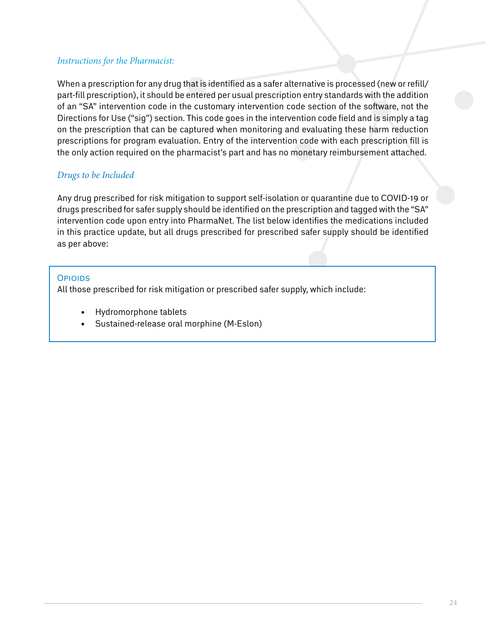#### *Instructions for the Pharmacist:*

When a prescription for any drug that is identified as a safer alternative is processed (new or refill/ part-fill prescription), it should be entered per usual prescription entry standards with the addition of an "SA" intervention code in the customary intervention code section of the software, not the Directions for Use ("sig") section. This code goes in the intervention code field and is simply a tag on the prescription that can be captured when monitoring and evaluating these harm reduction prescriptions for program evaluation. Entry of the intervention code with each prescription fill is the only action required on the pharmacist's part and has no monetary reimbursement attached.

#### *Drugs to be Included*

Any drug prescribed for risk mitigation to support self-isolation or quarantine due to COVID-19 or drugs prescribed for safer supply should be identified on the prescription and tagged with the "SA" intervention code upon entry into PharmaNet. The list below identifies the medications included in this practice update, but all drugs prescribed for prescribed safer supply should be identified as per above:

#### **Opioins**

All those prescribed for risk mitigation or prescribed safer supply, which include:

- Hydromorphone tablets
- • Sustained-release oral morphine (M-Eslon)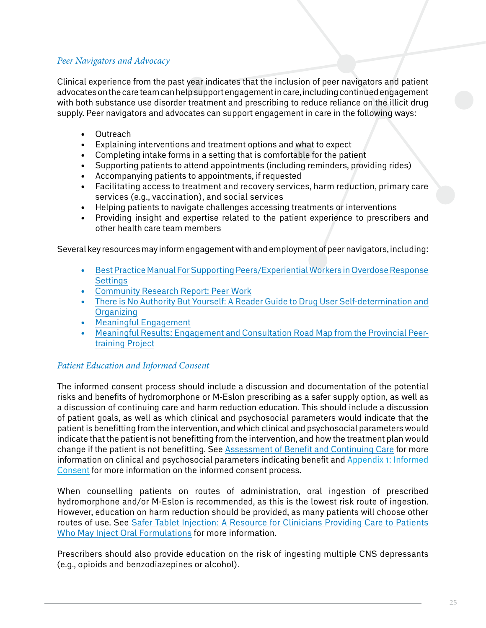#### *Peer Navigators and Advocacy*

Clinical experience from the past year indicates that the inclusion of peer navigators and patient advocates on the care team can help support engagement in care, including continued engagement with both substance use disorder treatment and prescribing to reduce reliance on the illicit drug supply. Peer navigators and advocates can support engagement in care in the following ways:

- Outreach
- Explaining interventions and treatment options and what to expect
- Completing intake forms in a setting that is comfortable for the patient
- Supporting patients to attend appointments (including reminders, providing rides)
- Accompanying patients to appointments, if requested
- • Facilitating access to treatment and recovery services, harm reduction, primary care services (e.g., vaccination), and social services
- Helping patients to navigate challenges accessing treatments or interventions
- Providing insight and expertise related to the patient experience to prescribers and other health care team members

Several key resources may inform engagement with and employment of peer navigators, including:

- • [Best Practice Manual For Supporting Peers/Experiential Workers in Overdose Response](https://towardtheheart.com/assets/uploads/1610410618yGfdr6sQs8m8KTWoKfaCUWX9llgwxBYHcMkNlFJ.pdf) **[Settings](https://towardtheheart.com/assets/uploads/1610410618yGfdr6sQs8m8KTWoKfaCUWX9llgwxBYHcMkNlFJ.pdf)**
- • [Community Research Report: Peer Work](https://towardtheheart.com/assets/uploads/1596131175V92lNsqnGo8brgfGnM2Pq9VeQpy9Hr203ivMqNW.pdf)
- There is No Authority But Yourself: A Reader Guide to Drug User Self-determination and **[Organizing](https://towardtheheart.com/thereisnoauthoritybutyourself)**
- [Meaningful Engagement](https://bccampus.ca/wp-content/uploads/2020/07/BCcampus-Peer-Engagement-and-Consultation-Report-v2.0-CR.pdf)
- [Meaningful Results: Engagement and Consultation Road Map from the Provincial Peer](https://bccampus.ca/wp-content/uploads/2020/07/BCcampus-Peer-Engagement-and-Consultation-Report-v2.0-CR.pdf)[training Project](https://bccampus.ca/wp-content/uploads/2020/07/BCcampus-Peer-Engagement-and-Consultation-Report-v2.0-CR.pdf)

#### *Patient Education and Informed Consent*

The informed consent process should include a discussion and documentation of the potential risks and benefits of hydromorphone or M-Eslon prescribing as a safer supply option, as well as a discussion of continuing care and harm reduction education. This should include a discussion of patient goals, as well as which clinical and psychosocial parameters would indicate that the patient is benefitting from the intervention, and which clinical and psychosocial parameters would indicate that the patient is not benefitting from the intervention, and how the treatment plan would change if the patient is not benefitting. See [Assessment of Benefit and Continuing Care](#page-19-0) for more information on clinical and psychosocial parameters indicating benefit and [Appendix 1: Informed](#page-25-0)  [Consent](#page-25-0) for more information on the informed consent process.

When counselling patients on routes of administration, oral ingestion of prescribed hydromorphone and/or M-Eslon is recommended, as this is the lowest risk route of ingestion. However, education on harm reduction should be provided, as many patients will choose other routes of use. See [Safer Tablet Injection: A Resource for Clinicians Providing Care to Patients](https://www.bccsu.ca/opioid-use-disorder/)  [Who May Inject Oral Formulations](https://www.bccsu.ca/opioid-use-disorder/) for more information.

Prescribers should also provide education on the risk of ingesting multiple CNS depressants (e.g., opioids and benzodiazepines or alcohol).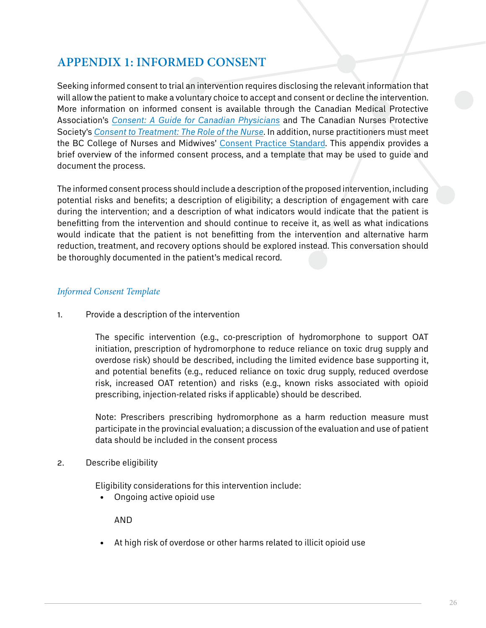## <span id="page-25-0"></span>**Appendix 1: Informed Consent**

Seeking informed consent to trial an intervention requires disclosing the relevant information that will allow the patient to make a voluntary choice to accept and consent or decline the intervention. More information on informed consent is available through the Canadian Medical Protective Association's *[Consent: A Guide for Canadian Physicians](https://www.cmpa-acpm.ca/en/advice-publications/handbooks/consent-a-guide-for-canadian-physicians)* and The Canadian Nurses Protective Society's *[Consent to Treatment: The Role of the Nurse](https://cnps.ca/article/consent-to-treatment/)*. In addition, nurse practitioners must meet the BC College of Nurses and Midwives' [Consent Practice Standard.](https://www.bccnm.ca/NP/PracticeStandards/Pages/consent.aspx) This appendix provides a brief overview of the informed consent process, and a template that may be used to guide and document the process.

The informed consent process should include a description of the proposed intervention, including potential risks and benefits; a description of eligibility; a description of engagement with care during the intervention; and a description of what indicators would indicate that the patient is benefitting from the intervention and should continue to receive it, as well as what indications would indicate that the patient is not benefitting from the intervention and alternative harm reduction, treatment, and recovery options should be explored instead. This conversation should be thoroughly documented in the patient's medical record.

#### *Informed Consent Template*

1. Provide a description of the intervention

The specific intervention (e.g., co-prescription of hydromorphone to support OAT initiation, prescription of hydromorphone to reduce reliance on toxic drug supply and overdose risk) should be described, including the limited evidence base supporting it, and potential benefits (e.g., reduced reliance on toxic drug supply, reduced overdose risk, increased OAT retention) and risks (e.g., known risks associated with opioid prescribing, injection-related risks if applicable) should be described.

Note: Prescribers prescribing hydromorphone as a harm reduction measure must participate in the provincial evaluation; a discussion of the evaluation and use of patient data should be included in the consent process

2. Describe eligibility

Eligibility considerations for this intervention include:

• Ongoing active opioid use

AND

• At high risk of overdose or other harms related to illicit opioid use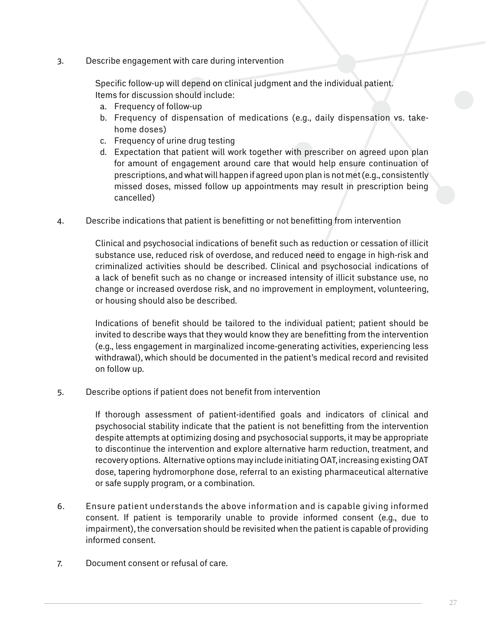3. Describe engagement with care during intervention

Specific follow-up will depend on clinical judgment and the individual patient. Items for discussion should include:

- a. Frequency of follow-up
- b. Frequency of dispensation of medications (e.g., daily dispensation vs. takehome doses)
- c. Frequency of urine drug testing
- d. Expectation that patient will work together with prescriber on agreed upon plan for amount of engagement around care that would help ensure continuation of prescriptions, and what will happen if agreed upon plan is not met (e.g., consistently missed doses, missed follow up appointments may result in prescription being cancelled)
- 4. Describe indications that patient is benefitting or not benefitting from intervention

Clinical and psychosocial indications of benefit such as reduction or cessation of illicit substance use, reduced risk of overdose, and reduced need to engage in high-risk and criminalized activities should be described. Clinical and psychosocial indications of a lack of benefit such as no change or increased intensity of illicit substance use, no change or increased overdose risk, and no improvement in employment, volunteering, or housing should also be described.

Indications of benefit should be tailored to the individual patient; patient should be invited to describe ways that they would know they are benefitting from the intervention (e.g., less engagement in marginalized income-generating activities, experiencing less withdrawal), which should be documented in the patient's medical record and revisited on follow up.

5. Describe options if patient does not benefit from intervention

If thorough assessment of patient-identified goals and indicators of clinical and psychosocial stability indicate that the patient is not benefitting from the intervention despite attempts at optimizing dosing and psychosocial supports, it may be appropriate to discontinue the intervention and explore alternative harm reduction, treatment, and recovery options. Alternative options may include initiating OAT, increasing existing OAT dose, tapering hydromorphone dose, referral to an existing pharmaceutical alternative or safe supply program, or a combination.

- 6. Ensure patient understands the above information and is capable giving informed consent. If patient is temporarily unable to provide informed consent (e.g., due to impairment), the conversation should be revisited when the patient is capable of providing informed consent.
- 7. Document consent or refusal of care.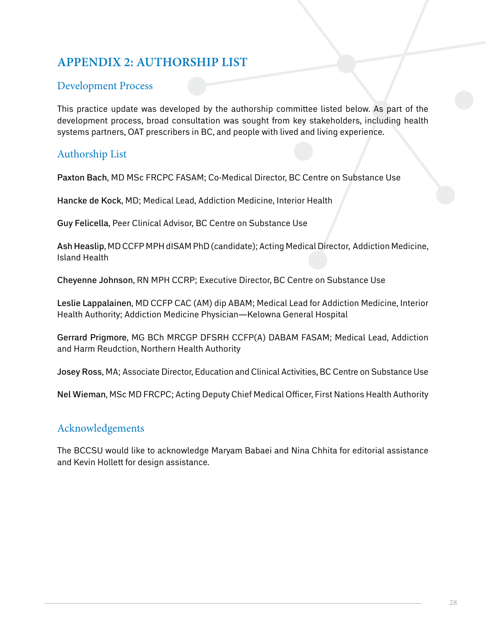## <span id="page-27-0"></span>**Appendix 2: Authorship List**

#### Development Process

This practice update was developed by the authorship committee listed below. As part of the development process, broad consultation was sought from key stakeholders, including health systems partners, OAT prescribers in BC, and people with lived and living experience.

### Authorship List

Paxton Bach, MD MSc FRCPC FASAM; Co-Medical Director, BC Centre on Substance Use

Hancke de Kock, MD; Medical Lead, Addiction Medicine, Interior Health

Guy Felicella, Peer Clinical Advisor, BC Centre on Substance Use

Ash Heaslip, MD CCFP MPH dISAM PhD (candidate); Acting Medical Director, Addiction Medicine, Island Health

Cheyenne Johnson, RN MPH CCRP; Executive Director, BC Centre on Substance Use

Leslie Lappalainen, MD CCFP CAC (AM) dip ABAM; Medical Lead for Addiction Medicine, Interior Health Authority; Addiction Medicine Physician—Kelowna General Hospital

Gerrard Prigmore, MG BCh MRCGP DFSRH CCFP(A) DABAM FASAM; Medical Lead, Addiction and Harm Reudction, Northern Health Authority

Josey Ross, MA; Associate Director, Education and Clinical Activities, BC Centre on Substance Use

Nel Wieman, MSc MD FRCPC; Acting Deputy Chief Medical Officer, First Nations Health Authority

#### Acknowledgements

The BCCSU would like to acknowledge Maryam Babaei and Nina Chhita for editorial assistance and Kevin Hollett for design assistance.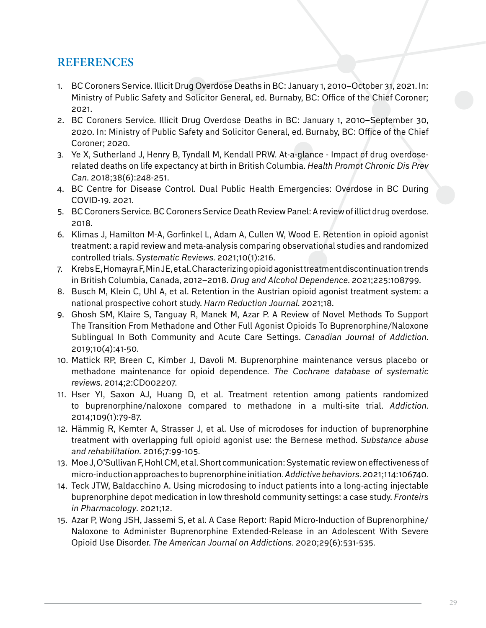## **REFERENCES**

- 1. BC Coroners Service. Illicit Drug Overdose Deaths in BC: January 1, 2010–October 31, 2021. In: Ministry of Public Safety and Solicitor General, ed. Burnaby, BC: Office of the Chief Coroner; 2021.
- 2. BC Coroners Service. Illicit Drug Overdose Deaths in BC: January 1, 2010–September 30, 2020. In: Ministry of Public Safety and Solicitor General, ed. Burnaby, BC: Office of the Chief Coroner; 2020.
- 3. Ye X, Sutherland J, Henry B, Tyndall M, Kendall PRW. At-a-glance Impact of drug overdoserelated deaths on life expectancy at birth in British Columbia. *Health Promot Chronic Dis Prev Can*. 2018;38(6):248-251.
- 4. BC Centre for Disease Control. Dual Public Health Emergencies: Overdose in BC During COVID-19. 2021.
- 5. BC Coroners Service. BC Coroners Service Death Review Panel: A review of illict drug overdose. 2018.
- 6. Klimas J, Hamilton M-A, Gorfinkel L, Adam A, Cullen W, Wood E. Retention in opioid agonist treatment: a rapid review and meta-analysis comparing observational studies and randomized controlled trials. *Systematic Reviews*. 2021;10(1):216.
- 7. Krebs E, Homayra F, Min JE, et al. Characterizing opioid agonist treatment discontinuation trends in British Columbia, Canada, 2012–2018. *Drug and Alcohol Dependence*. 2021;225:108799.
- 8. Busch M, Klein C, Uhl A, et al. Retention in the Austrian opioid agonist treatment system: a national prospective cohort study. *Harm Reduction Journal*. 2021;18.
- 9. Ghosh SM, Klaire S, Tanguay R, Manek M, Azar P. A Review of Novel Methods To Support The Transition From Methadone and Other Full Agonist Opioids To Buprenorphine/Naloxone Sublingual In Both Community and Acute Care Settings. *Canadian Journal of Addiction*. 2019;10(4):41-50.
- 10. Mattick RP, Breen C, Kimber J, Davoli M. Buprenorphine maintenance versus placebo or methadone maintenance for opioid dependence. *The Cochrane database of systematic reviews*. 2014;2:CD002207.
- 11. Hser YI, Saxon AJ, Huang D, et al. Treatment retention among patients randomized to buprenorphine/naloxone compared to methadone in a multi-site trial. *Addiction*. 2014;109(1):79-87.
- 12. Hämmig R, Kemter A, Strasser J, et al. Use of microdoses for induction of buprenorphine treatment with overlapping full opioid agonist use: the Bernese method. *Substance abuse and rehabilitation*. 2016;7:99-105.
- 13. Moe J, O'Sullivan F, Hohl CM, et al. Short communication: Systematic review on effectiveness of micro-induction approaches to buprenorphine initiation. *Addictive behaviors*. 2021;114:106740.
- 14. Teck JTW, Baldacchino A. Using microdosing to induct patients into a long-acting injectable buprenorphine depot medication in low threshold community settings: a case study. *Fronteirs in Pharmacology*. 2021;12.
- 15. Azar P, Wong JSH, Jassemi S, et al. A Case Report: Rapid Micro-Induction of Buprenorphine/ Naloxone to Administer Buprenorphine Extended-Release in an Adolescent With Severe Opioid Use Disorder. *The American Journal on Addictions*. 2020;29(6):531-535.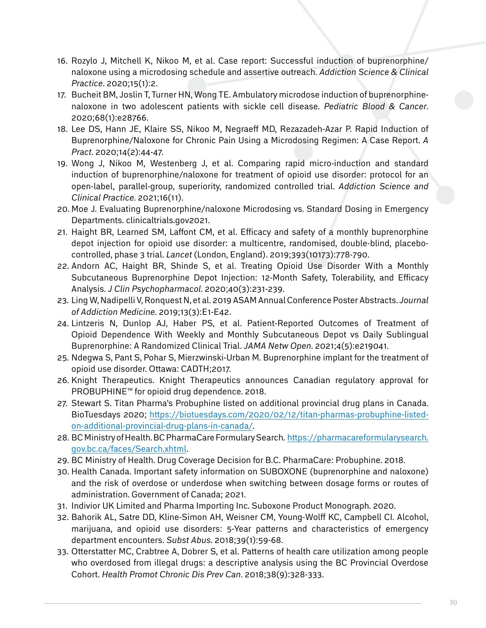- 16. Rozylo J, Mitchell K, Nikoo M, et al. Case report: Successful induction of buprenorphine/ naloxone using a microdosing schedule and assertive outreach. *Addiction Science & Clinical Practice*. 2020;15(1):2.
- 17. Bucheit BM, Joslin T, Turner HN, Wong TE. Ambulatory microdose induction of buprenorphinenaloxone in two adolescent patients with sickle cell disease. *Pediatric Blood & Cancer*. 2020;68(1):e28766.
- 18. Lee DS, Hann JE, Klaire SS, Nikoo M, Negraeff MD, Rezazadeh-Azar P. Rapid Induction of Buprenorphine/Naloxone for Chronic Pain Using a Microdosing Regimen: A Case Report. *A Pract*. 2020;14(2):44-47.
- 19. Wong J, Nikoo M, Westenberg J, et al. Comparing rapid micro-induction and standard induction of buprenorphine/naloxone for treatment of opioid use disorder: protocol for an open-label, parallel-group, superiority, randomized controlled trial. *Addiction Science and Clinical Practice*. 2021;16(11).
- 20. Moe J. Evaluating Buprenorphine/naloxone Microdosing vs. Standard Dosing in Emergency Departments. clinicaltrials.gov2021.
- 21. Haight BR, Learned SM, Laffont CM, et al. Efficacy and safety of a monthly buprenorphine depot injection for opioid use disorder: a multicentre, randomised, double-blind, placebocontrolled, phase 3 trial. *Lancet* (London, England). 2019;393(10173):778-790.
- 22. Andorn AC, Haight BR, Shinde S, et al. Treating Opioid Use Disorder With a Monthly Subcutaneous Buprenorphine Depot Injection: 12-Month Safety, Tolerability, and Efficacy Analysis. *J Clin Psychopharmacol*. 2020;40(3):231-239.
- 23. Ling W, Nadipelli V, Ronquest N, et al. 2019 ASAM Annual Conference Poster Abstracts. *Journal of Addiction Medicine*. 2019;13(3):E1-E42.
- 24. Lintzeris N, Dunlop AJ, Haber PS, et al. Patient-Reported Outcomes of Treatment of Opioid Dependence With Weekly and Monthly Subcutaneous Depot vs Daily Sublingual Buprenorphine: A Randomized Clinical Trial. *JAMA Netw Open*. 2021;4(5):e219041.
- 25. Ndegwa S, Pant S, Pohar S, Mierzwinski-Urban M. Buprenorphine implant for the treatment of opioid use disorder. Ottawa: CADTH;2017.
- 26. Knight Therapeutics. Knight Therapeutics announces Canadian regulatory approval for PROBUPHINE™ for opioid drug dependence. 2018.
- 27. Stewart S. Titan Pharma's Probuphine listed on additional provincial drug plans in Canada. BioTuesdays 2020; [https://biotuesdays.com/2020/02/12/titan-pharmas-probuphine-listed](https://biotuesdays.com/2020/02/12/titan-pharmas-probuphine-listed-on-additional-provincial-drug-plans-in-canada/)[on-additional-provincial-drug-plans-in-canada/](https://biotuesdays.com/2020/02/12/titan-pharmas-probuphine-listed-on-additional-provincial-drug-plans-in-canada/).
- 28. BC Ministry of Health. BC PharmaCare Formulary Search. [https://pharmacareformularysearch.](https://pharmacareformularysearch.gov.bc.ca/faces/Search.xhtml) [gov.bc.ca/faces/Search.xhtml](https://pharmacareformularysearch.gov.bc.ca/faces/Search.xhtml).
- 29. BC Ministry of Health. Drug Coverage Decision for B.C. PharmaCare: Probuphine. 2018.
- 30. Health Canada. Important safety information on SUBOXONE (buprenorphine and naloxone) and the risk of overdose or underdose when switching between dosage forms or routes of administration. Government of Canada; 2021.
- 31. Indivior UK Limited and Pharma Importing Inc. Suboxone Product Monograph. 2020.
- 32. Bahorik AL, Satre DD, Kline-Simon AH, Weisner CM, Young-Wolff KC, Campbell CI. Alcohol, marijuana, and opioid use disorders: 5-Year patterns and characteristics of emergency department encounters. *Subst Abus*. 2018;39(1):59-68.
- 33. Otterstatter MC, Crabtree A, Dobrer S, et al. Patterns of health care utilization among people who overdosed from illegal drugs: a descriptive analysis using the BC Provincial Overdose Cohort. *Health Promot Chronic Dis Prev Can*. 2018;38(9):328-333.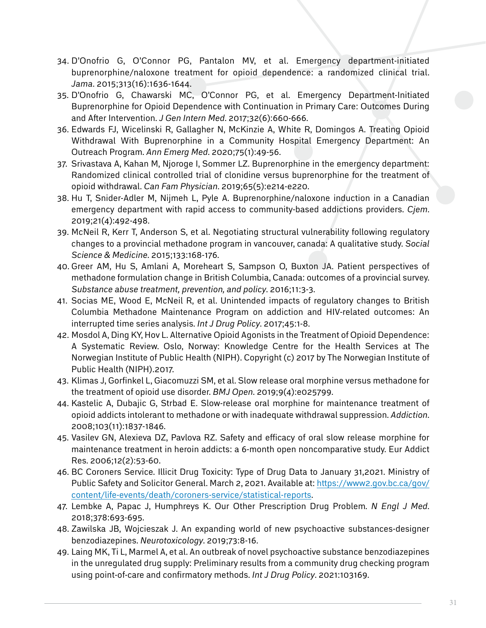- 34. D'Onofrio G, O'Connor PG, Pantalon MV, et al. Emergency department-initiated buprenorphine/naloxone treatment for opioid dependence: a randomized clinical trial. *Jama*. 2015;313(16):1636-1644.
- 35. D'Onofrio G, Chawarski MC, O'Connor PG, et al. Emergency Department-Initiated Buprenorphine for Opioid Dependence with Continuation in Primary Care: Outcomes During and After Intervention. *J Gen Intern Med*. 2017;32(6):660-666.
- 36. Edwards FJ, Wicelinski R, Gallagher N, McKinzie A, White R, Domingos A. Treating Opioid Withdrawal With Buprenorphine in a Community Hospital Emergency Department: An Outreach Program. *Ann Emerg Med*. 2020;75(1):49-56.
- 37. Srivastava A, Kahan M, Njoroge I, Sommer LZ. Buprenorphine in the emergency department: Randomized clinical controlled trial of clonidine versus buprenorphine for the treatment of opioid withdrawal. *Can Fam Physician*. 2019;65(5):e214-e220.
- 38. Hu T, Snider-Adler M, Nijmeh L, Pyle A. Buprenorphine/naloxone induction in a Canadian emergency department with rapid access to community-based addictions providers. *Cjem*. 2019;21(4):492-498.
- 39. McNeil R, Kerr T, Anderson S, et al. Negotiating structural vulnerability following regulatory changes to a provincial methadone program in vancouver, canada: A qualitative study. *Social Science & Medicine*. 2015;133:168-176.
- 40. Greer AM, Hu S, Amlani A, Moreheart S, Sampson O, Buxton JA. Patient perspectives of methadone formulation change in British Columbia, Canada: outcomes of a provincial survey. *Substance abuse treatment, prevention, and policy*. 2016;11:3-3.
- 41. Socias ME, Wood E, McNeil R, et al. Unintended impacts of regulatory changes to British Columbia Methadone Maintenance Program on addiction and HIV-related outcomes: An interrupted time series analysis. *Int J Drug Policy*. 2017;45:1-8.
- 42. Mosdol A, Ding KY, Hov L. Alternative Opioid Agonists in the Treatment of Opioid Dependence: A Systematic Review. Oslo, Norway: Knowledge Centre for the Health Services at The Norwegian Institute of Public Health (NIPH). Copyright (c) 2017 by The Norwegian Institute of Public Health (NIPH).2017.
- 43. Klimas J, Gorfinkel L, Giacomuzzi SM, et al. Slow release oral morphine versus methadone for the treatment of opioid use disorder. *BMJ Open*. 2019;9(4):e025799.
- 44. Kastelic A, Dubajic G, Strbad E. Slow-release oral morphine for maintenance treatment of opioid addicts intolerant to methadone or with inadequate withdrawal suppression. *Addiction*. 2008;103(11):1837-1846.
- 45. Vasilev GN, Alexieva DZ, Pavlova RZ. Safety and efficacy of oral slow release morphine for maintenance treatment in heroin addicts: a 6-month open noncomparative study. Eur Addict Res. 2006;12(2):53-60.
- 46. BC Coroners Service. Illicit Drug Toxicity: Type of Drug Data to January 31,2021. Ministry of Public Safety and Solicitor General. March 2, 2021. Available at: [https://www2.gov.bc.ca/gov/](https://www2.gov.bc.ca/gov/content/life-events/death/coroners-service/statistical-reports) [content/life-events/death/coroners-service/statistical-reports](https://www2.gov.bc.ca/gov/content/life-events/death/coroners-service/statistical-reports).
- 47. Lembke A, Papac J, Humphreys K. Our Other Prescription Drug Problem. *N Engl J Med*. 2018;378:693-695.
- 48. Zawilska JB, Wojcieszak J. An expanding world of new psychoactive substances-designer benzodiazepines. *Neurotoxicology*. 2019;73:8-16.
- 49. Laing MK, Ti L, Marmel A, et al. An outbreak of novel psychoactive substance benzodiazepines in the unregulated drug supply: Preliminary results from a community drug checking program using point-of-care and confirmatory methods. *Int J Drug Policy*. 2021:103169.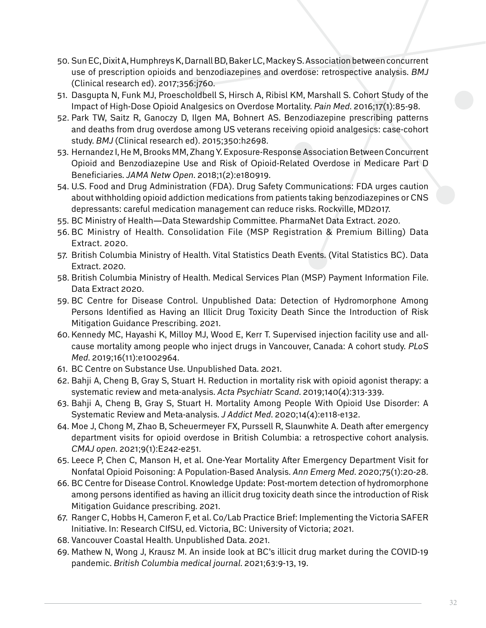- 50. Sun EC, Dixit A, Humphreys K, Darnall BD, Baker LC, Mackey S. Association between concurrent use of prescription opioids and benzodiazepines and overdose: retrospective analysis. *BMJ*  (Clinical research ed). 2017;356:j760.
- 51. Dasgupta N, Funk MJ, Proescholdbell S, Hirsch A, Ribisl KM, Marshall S. Cohort Study of the Impact of High-Dose Opioid Analgesics on Overdose Mortality. *Pain Med*. 2016;17(1):85-98.
- 52. Park TW, Saitz R, Ganoczy D, Ilgen MA, Bohnert AS. Benzodiazepine prescribing patterns and deaths from drug overdose among US veterans receiving opioid analgesics: case-cohort study. *BMJ* (Clinical research ed). 2015;350:h2698.
- 53. Hernandez I, He M, Brooks MM, Zhang Y. Exposure-Response Association Between Concurrent Opioid and Benzodiazepine Use and Risk of Opioid-Related Overdose in Medicare Part D Beneficiaries. *JAMA Netw Open*. 2018;1(2):e180919.
- 54. U.S. Food and Drug Administration (FDA). Drug Safety Communications: FDA urges caution about withholding opioid addiction medications from patients taking benzodiazepines or CNS depressants: careful medication management can reduce risks. Rockville, MD2017.
- 55. BC Ministry of Health—Data Stewardship Committee. PharmaNet Data Extract. 2020.
- 56. BC Ministry of Health. Consolidation File (MSP Registration & Premium Billing) Data Extract. 2020.
- 57. British Columbia Ministry of Health. Vital Statistics Death Events. (Vital Statistics BC). Data Extract. 2020.
- 58. British Columbia Ministry of Health. Medical Services Plan (MSP) Payment Information File. Data Extract 2020.
- 59. BC Centre for Disease Control. Unpublished Data: Detection of Hydromorphone Among Persons Identified as Having an Illicit Drug Toxicity Death Since the Introduction of Risk Mitigation Guidance Prescribing. 2021.
- 60. Kennedy MC, Hayashi K, Milloy MJ, Wood E, Kerr T. Supervised injection facility use and allcause mortality among people who inject drugs in Vancouver, Canada: A cohort study. *PLoS Med*. 2019;16(11):e1002964.
- 61. BC Centre on Substance Use. Unpublished Data. 2021.
- 62. Bahji A, Cheng B, Gray S, Stuart H. Reduction in mortality risk with opioid agonist therapy: a systematic review and meta-analysis. *Acta Psychiatr Scand*. 2019;140(4):313-339.
- 63. Bahji A, Cheng B, Gray S, Stuart H. Mortality Among People With Opioid Use Disorder: A Systematic Review and Meta-analysis. *J Addict Med*. 2020;14(4):e118-e132.
- 64. Moe J, Chong M, Zhao B, Scheuermeyer FX, Purssell R, Slaunwhite A. Death after emergency department visits for opioid overdose in British Columbia: a retrospective cohort analysis. *CMAJ open*. 2021;9(1):E242-e251.
- 65. Leece P, Chen C, Manson H, et al. One-Year Mortality After Emergency Department Visit for Nonfatal Opioid Poisoning: A Population-Based Analysis. *Ann Emerg Med*. 2020;75(1):20-28.
- 66. BC Centre for Disease Control. Knowledge Update: Post-mortem detection of hydromorphone among persons identified as having an illicit drug toxicity death since the introduction of Risk Mitigation Guidance prescribing. 2021.
- 67. Ranger C, Hobbs H, Cameron F, et al. Co/Lab Practice Brief: Implementing the Victoria SAFER Initiative. In: Research CIfSU, ed. Victoria, BC: University of Victoria; 2021.
- 68. Vancouver Coastal Health. Unpublished Data. 2021.
- 69. Mathew N, Wong J, Krausz M. An inside look at BC's illicit drug market during the COVID-19 pandemic. *British Columbia medical journal*. 2021;63:9-13, 19.